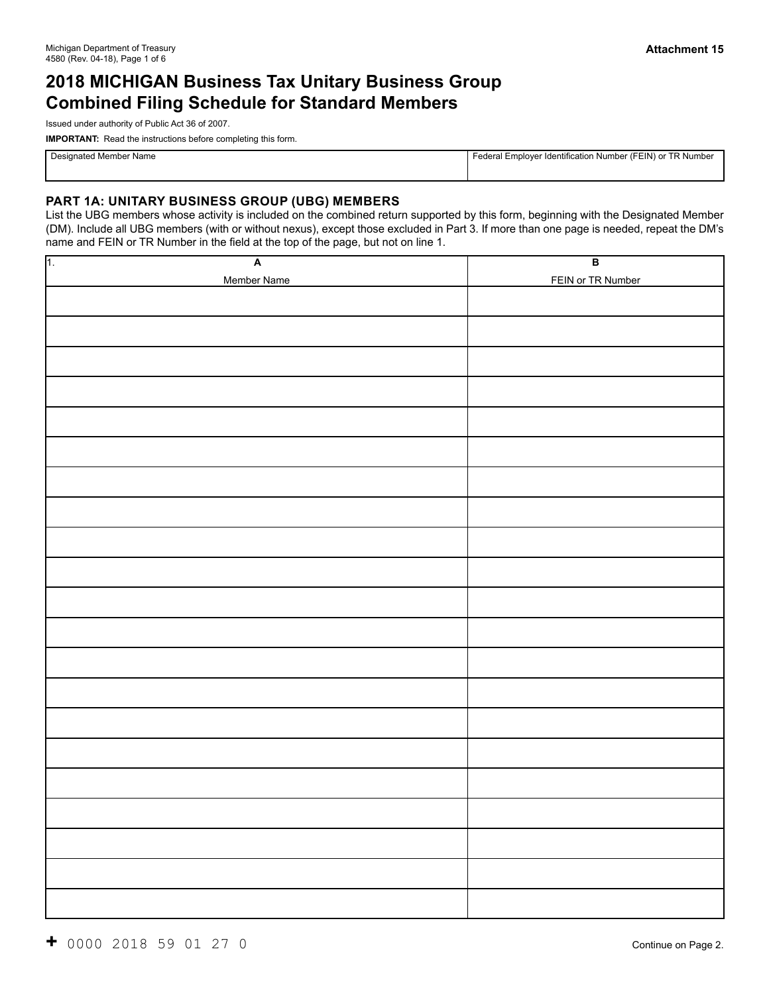# **2018 MICHIGAN Business Tax Unitary Business Group Combined Filing Schedule for Standard Members**

Issued under authority of Public Act 36 of 2007.

**IMPORTANT:** Read the instructions before completing this form.

Designated Member Name **Federal Employer Identification Number (FEIN)** or TR Number (FEIN) or TR Number

### **PART 1A: UNITARY BUSINESS GROUP (UBG) MEMBERS**

List the UBG members whose activity is included on the combined return supported by this form, beginning with the Designated Member (DM). Include all UBG members (with or without nexus), except those excluded in Part 3. If more than one page is needed, repeat the DM's name and FEIN or TR Number in the field at the top of the page, but not on line 1.

| $\overline{A}$<br>$\sqrt{1}$ | $\overline{B}$    |
|------------------------------|-------------------|
| Member Name                  | FEIN or TR Number |
|                              |                   |
|                              |                   |
|                              |                   |
|                              |                   |
|                              |                   |
|                              |                   |
|                              |                   |
|                              |                   |
|                              |                   |
|                              |                   |
|                              |                   |
|                              |                   |
|                              |                   |
|                              |                   |
|                              |                   |
|                              |                   |
|                              |                   |
|                              |                   |
|                              |                   |
|                              |                   |
|                              |                   |
|                              |                   |
|                              |                   |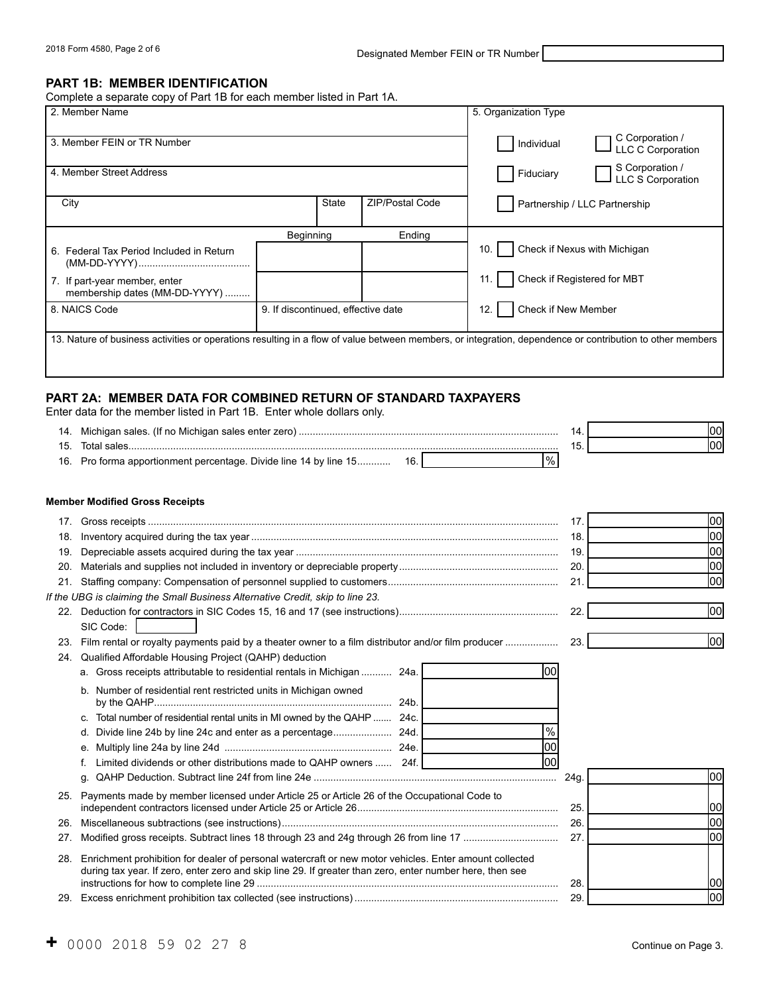2018 Form 4580, Page 2 of 6 **Designated Member FEIN or TR Number** 

#### **PART 1B: MEMBER IDENTIFICATION**

Complete a separate copy of Part 1B for each member listed in Part 1A.

| 2. Member Name                                                 |                                    |                        | 5. Organization Type                                                                                                                                      |
|----------------------------------------------------------------|------------------------------------|------------------------|-----------------------------------------------------------------------------------------------------------------------------------------------------------|
| 3. Member FEIN or TR Number                                    |                                    |                        | C Corporation /<br>Individual<br>LLC C Corporation                                                                                                        |
| 4. Member Street Address                                       |                                    |                        | S Corporation /<br>Fiduciary<br><b>LLC S Corporation</b>                                                                                                  |
| City                                                           | <b>State</b>                       | <b>ZIP/Postal Code</b> | Partnership / LLC Partnership                                                                                                                             |
|                                                                | Beginning                          | Ending                 |                                                                                                                                                           |
| 6. Federal Tax Period Included in Return                       |                                    |                        | Check if Nexus with Michigan<br>10.                                                                                                                       |
| 7. If part-year member, enter<br>membership dates (MM-DD-YYYY) |                                    |                        | Check if Registered for MBT                                                                                                                               |
| 8. NAICS Code                                                  | 9. If discontinued, effective date |                        | Check if New Member<br>12.                                                                                                                                |
|                                                                |                                    |                        | 13. Nature of business activities or operations resulting in a flow of value between members, or integration, dependence or contribution to other members |

# **PART 2A: MEMBER DATA FOR COMBINED RETURN OF STANDARD TAXPAYERS**

Enter data for the member listed in Part 1B. Enter whole dollars only.

|     |                                                                                                          | 14.  | 00   |
|-----|----------------------------------------------------------------------------------------------------------|------|------|
| 15. |                                                                                                          | 15.  | 00   |
|     | $\%$<br>16. Pro forma apportionment percentage. Divide line 14 by line 15 16.                            |      |      |
|     | <b>Member Modified Gross Receipts</b>                                                                    |      |      |
|     |                                                                                                          | 17.  | 00   |
| 18. |                                                                                                          | 18.  | loo  |
| 19. |                                                                                                          | 19.  | 00   |
| 20. |                                                                                                          | 20.  | 00   |
| 21. |                                                                                                          | 21.  | loo  |
|     | If the UBG is claiming the Small Business Alternative Credit, skip to line 23.                           |      |      |
|     |                                                                                                          | 22.  | lool |
|     | SIC Code:                                                                                                |      |      |
| 23. |                                                                                                          | 23.  | lool |
| 24. | Qualified Affordable Housing Project (QAHP) deduction                                                    |      |      |
|     | 100<br>a. Gross receipts attributable to residential rentals in Michigan  24a.                           |      |      |
|     | b. Number of residential rent restricted units in Michigan owned                                         |      |      |
|     | 24b.                                                                                                     |      |      |
|     | c. Total number of residential rental units in MI owned by the QAHP  24c.                                |      |      |
|     | $\frac{9}{6}$<br>d.                                                                                      |      |      |
|     | loo                                                                                                      |      |      |
|     | loo<br>Limited dividends or other distributions made to QAHP owners  24f.                                |      |      |
|     | q.                                                                                                       | 24g. | 00   |
|     | 25. Payments made by member licensed under Article 25 or Article 26 of the Occupational Code to          |      |      |
|     |                                                                                                          | 25.  | 00   |
| 26. |                                                                                                          | 26.  | 00   |
| 27. |                                                                                                          | 27.  | 00   |
| 28. | Enrichment prohibition for dealer of personal watercraft or new motor vehicles. Enter amount collected   |      |      |
|     | during tax year. If zero, enter zero and skip line 29. If greater than zero, enter number here, then see |      |      |
|     |                                                                                                          | 28.  | 100  |
|     |                                                                                                          | 29.  | loo  |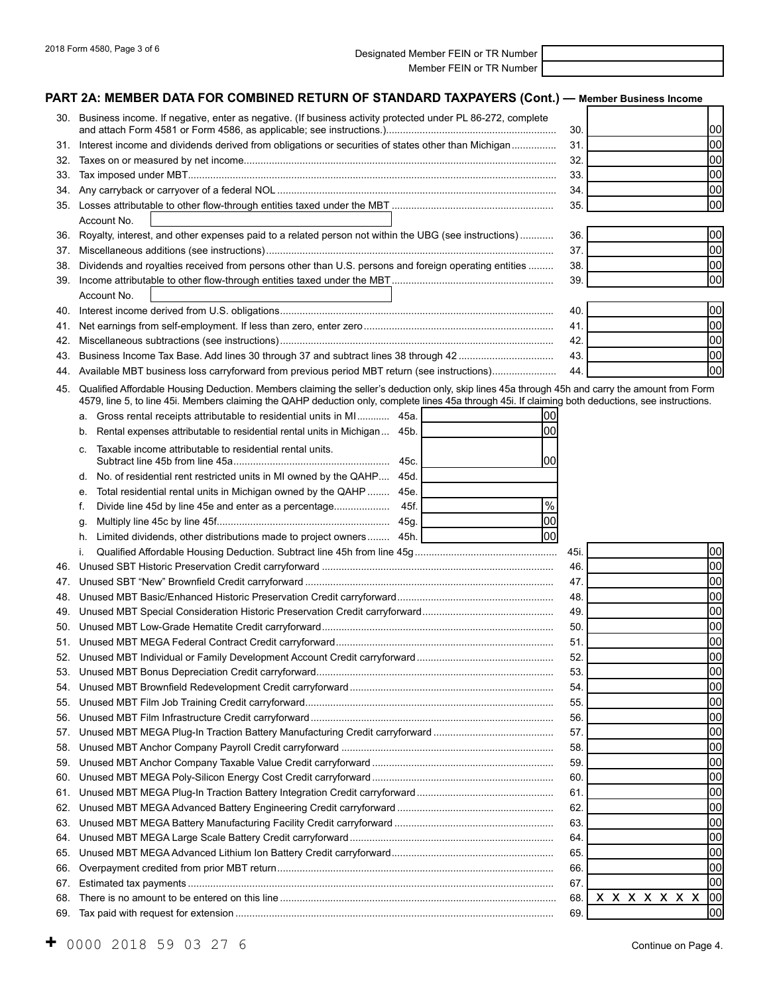2018 Form 4580, Page 3 of 6 Designated Member FEIN or TR Number Member FEIN or TR Number

# **PART 2A: MEMBER DATA FOR COMBINED RETURN OF STANDARD TAXPAYERS**

|     | ART 2A: MEMBER DATA FOR COMBINED RETURN OF STANDARD TAXPAYERS (Cont.) — Member Business Income                                                      |                                |
|-----|-----------------------------------------------------------------------------------------------------------------------------------------------------|--------------------------------|
|     | 30. Business income. If negative, enter as negative. (If business activity protected under PL 86-272, complete                                      | lool<br>30.                    |
| 31. | Interest income and dividends derived from obligations or securities of states other than Michigan                                                  | 00<br>31.                      |
| 32. |                                                                                                                                                     | 00<br>32.                      |
| 33. |                                                                                                                                                     | 00<br>33.                      |
| 34. |                                                                                                                                                     | lool<br>34.                    |
|     |                                                                                                                                                     | lool<br>35.                    |
|     | Account No.                                                                                                                                         |                                |
| 36. | Royalty, interest, and other expenses paid to a related person not within the UBG (see instructions)                                                | lool<br>36.                    |
| 37. |                                                                                                                                                     | lool<br>37.                    |
| 38. | Dividends and royalties received from persons other than U.S. persons and foreign operating entities                                                | lool<br>38.                    |
|     |                                                                                                                                                     | lool<br>39.                    |
|     | Account No.                                                                                                                                         |                                |
| 40. |                                                                                                                                                     | 00 <br>40.                     |
| 41. |                                                                                                                                                     | lool<br>41.                    |
| 42. |                                                                                                                                                     | lool<br>42.                    |
| 43. |                                                                                                                                                     | lool<br>43.                    |
| 44. | Available MBT business loss carryforward from previous period MBT return (see instructions)                                                         | lool<br>44.                    |
| 45. | Qualified Affordable Housing Deduction. Members claiming the seller's deduction only, skip lines 45a through 45h and carry the amount from Form     |                                |
|     | 4579, line 5, to line 45i. Members claiming the QAHP deduction only, complete lines 45a through 45i. If claiming both deductions, see instructions. |                                |
|     | Gross rental receipts attributable to residential units in MI<br>45a.<br>00<br>а.                                                                   |                                |
|     | 00<br>Rental expenses attributable to residential rental units in Michigan<br>45b.<br>b.                                                            |                                |
|     | Taxable income attributable to residential rental units.<br>C.<br>100                                                                               |                                |
|     | 45c.                                                                                                                                                |                                |
|     | No. of residential rent restricted units in MI owned by the QAHP 45d.<br>d.                                                                         |                                |
|     | Total residential rental units in Michigan owned by the QAHP  45e.<br>е.<br>$\%$                                                                    |                                |
|     | f.<br>lool                                                                                                                                          |                                |
|     | q.<br>lool                                                                                                                                          |                                |
|     | Limited dividends, other distributions made to project owners 45h.<br>h.                                                                            |                                |
|     | i.                                                                                                                                                  | 00 <br>45i.                    |
| 46. |                                                                                                                                                     | 00<br>46.                      |
| 47. |                                                                                                                                                     | 00<br>47.                      |
|     | <b>JAMBT One of LOST Constitution Historic Decomposition One 44, complemental</b>                                                                   | lool<br>48.<br>$\overline{10}$ |

|     | 47. |                    | 100 |
|-----|-----|--------------------|-----|
|     | 48. |                    | loo |
| 49. | 49. |                    | loo |
|     | 50. |                    | 100 |
|     | 51  |                    | 100 |
|     | 52. |                    | 100 |
|     | 53. |                    | 100 |
|     | 54. |                    | 100 |
|     | 55. |                    | loo |
| 56. | 56. |                    | loo |
|     | 57. |                    | loo |
|     | 58. |                    | 100 |
|     | 59. |                    | loo |
|     | 60. |                    | 100 |
|     | 61  |                    | 100 |
|     | 62  |                    | loo |
|     | 63. |                    | 100 |
|     | 64. |                    | loo |
|     | 65. |                    | 100 |
| 66. | 66. |                    | loo |
| 67. | 67  |                    | 100 |
| 68. | 68. | $x x x x x x x$ 00 |     |
|     | 69  |                    | loo |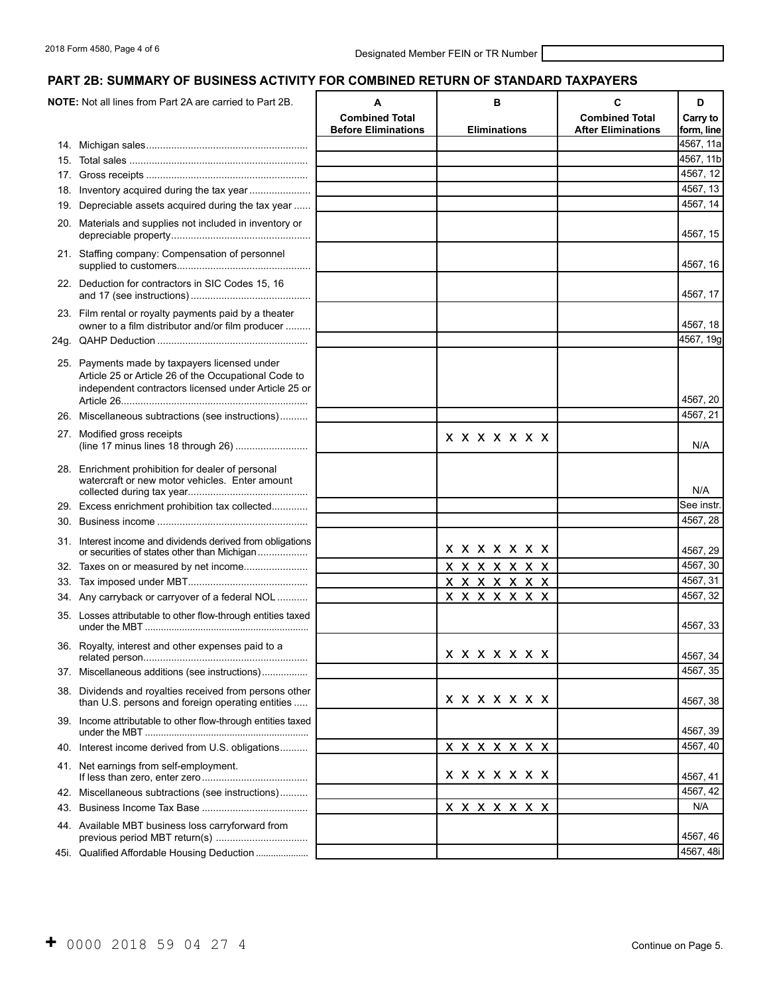# **PART 2B: SUMMARY OF BUSINESS ACTIVITY FOR COMBINED RETURN OF STANDARD TAXPAYERS**

| <b>NOTE:</b> Not all lines from Part 2A are carried to Part 2B.                                                                                               | A<br><b>Combined Total</b> | в                     | C<br><b>Combined Total</b> | D<br>Carry to |
|---------------------------------------------------------------------------------------------------------------------------------------------------------------|----------------------------|-----------------------|----------------------------|---------------|
|                                                                                                                                                               | <b>Before Eliminations</b> | <b>Eliminations</b>   | <b>After Eliminations</b>  | form, line    |
|                                                                                                                                                               |                            |                       |                            | 4567, 11a     |
|                                                                                                                                                               |                            |                       |                            | 4567, 11b     |
|                                                                                                                                                               |                            |                       |                            | 4567, 12      |
| 18. Inventory acquired during the tax year                                                                                                                    |                            |                       |                            | 4567, 13      |
| 19. Depreciable assets acquired during the tax year                                                                                                           |                            |                       |                            | 4567, 14      |
| 20. Materials and supplies not included in inventory or                                                                                                       |                            |                       |                            | 4567, 15      |
| 21. Staffing company: Compensation of personnel                                                                                                               |                            |                       |                            | 4567, 16      |
| 22. Deduction for contractors in SIC Codes 15, 16                                                                                                             |                            |                       |                            | 4567, 17      |
| 23. Film rental or royalty payments paid by a theater<br>owner to a film distributor and/or film producer                                                     |                            |                       |                            | 4567, 18      |
|                                                                                                                                                               |                            |                       |                            | 4567, 19g     |
| 25. Payments made by taxpayers licensed under<br>Article 25 or Article 26 of the Occupational Code to<br>independent contractors licensed under Article 25 or |                            |                       |                            | 4567, 20      |
| 26. Miscellaneous subtractions (see instructions)                                                                                                             |                            |                       |                            | 4567, 21      |
|                                                                                                                                                               |                            |                       |                            |               |
| 27. Modified gross receipts<br>(line 17 minus lines 18 through 26)                                                                                            |                            | x x x x x x x         |                            | N/A           |
| 28. Enrichment prohibition for dealer of personal<br>watercraft or new motor vehicles. Enter amount                                                           |                            |                       |                            | N/A           |
| 29. Excess enrichment prohibition tax collected                                                                                                               |                            |                       |                            | See instr.    |
|                                                                                                                                                               |                            |                       |                            | 4567, 28      |
| 31. Interest income and dividends derived from obligations<br>or securities of states other than Michigan                                                     |                            | x x x x x x x         |                            | 4567, 29      |
| 32. Taxes on or measured by net income                                                                                                                        |                            | <u> x x x x x x x</u> |                            | 4567, 30      |
|                                                                                                                                                               |                            | <u> x x x x x x x</u> |                            | 4567, 31      |
| 34. Any carryback or carryover of a federal NOL                                                                                                               |                            | <u>x x x x x x x</u>  |                            | 4567, 32      |
| 35. Losses attributable to other flow-through entities taxed                                                                                                  |                            |                       |                            | 4567, 33      |
| 36. Royalty, interest and other expenses paid to a                                                                                                            |                            | <b>x x x x x x x</b>  |                            | 4567, 34      |
| 37. Miscellaneous additions (see instructions)                                                                                                                |                            |                       |                            | 4567, 35      |
| 38. Dividends and royalties received from persons other<br>than U.S. persons and foreign operating entities                                                   |                            | x x x x x x x         |                            | 4567, 38      |
| 39. Income attributable to other flow-through entities taxed                                                                                                  |                            |                       |                            | 4567, 39      |
| 40. Interest income derived from U.S. obligations                                                                                                             |                            | <u> x x x x x x x</u> |                            | 4567, 40      |
| 41. Net earnings from self-employment.                                                                                                                        |                            | <b>x x x x x x x</b>  |                            | 4567, 41      |
| 42. Miscellaneous subtractions (see instructions)                                                                                                             |                            |                       |                            | 4567, 42      |
|                                                                                                                                                               |                            | <u> x x x x x x x</u> |                            | N/A           |
| 44. Available MBT business loss carryforward from<br>previous period MBT return(s)                                                                            |                            |                       |                            | 4567, 46      |
| 45i. Qualified Affordable Housing Deduction                                                                                                                   |                            |                       |                            | 4567, 48i     |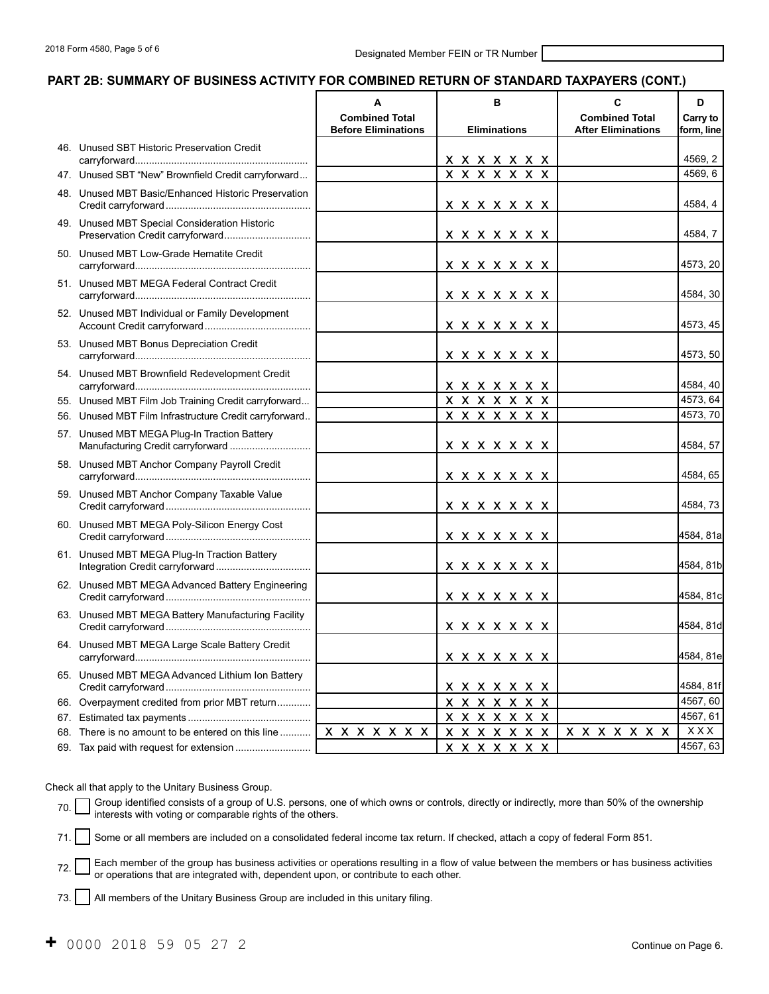#### **PART 2B: SUMMARY OF BUSINESS ACTIVITY FOR COMBINED RETURN OF STANDARD TAXPAYERS (CONT.)**

|     |                                                                                   | A                                                   | B                     | C                                                  | D                      |
|-----|-----------------------------------------------------------------------------------|-----------------------------------------------------|-----------------------|----------------------------------------------------|------------------------|
|     |                                                                                   | <b>Combined Total</b><br><b>Before Eliminations</b> | <b>Eliminations</b>   | <b>Combined Total</b><br><b>After Eliminations</b> | Carry to<br>form. line |
|     | 46. Unused SBT Historic Preservation Credit                                       |                                                     | x x x x x x x         |                                                    | 4569, 2                |
|     | 47. Unused SBT "New" Brownfield Credit carryforward                               |                                                     | <b>x x x x x x x</b>  |                                                    | 4569, 6                |
|     | 48. Unused MBT Basic/Enhanced Historic Preservation                               |                                                     | x x x x x x x         |                                                    | 4584, 4                |
|     | 49. Unused MBT Special Consideration Historic<br>Preservation Credit carryforward |                                                     | <b>x x x x x x x</b>  |                                                    | 4584, 7                |
|     | 50. Unused MBT Low-Grade Hematite Credit                                          |                                                     | <b>x x x x x x x</b>  |                                                    | 4573, 20               |
|     | 51. Unused MBT MEGA Federal Contract Credit                                       |                                                     | x x x x x x x         |                                                    | 4584, 30               |
|     | 52. Unused MBT Individual or Family Development                                   |                                                     | x x x x x x x         |                                                    | 4573, 45               |
|     | 53. Unused MBT Bonus Depreciation Credit                                          |                                                     | <b>x x x x x x x</b>  |                                                    | 4573, 50               |
|     | 54. Unused MBT Brownfield Redevelopment Credit                                    |                                                     | <u> x x x x x x x</u> |                                                    | 4584, 40               |
|     | 55. Unused MBT Film Job Training Credit carryforward                              |                                                     | X X X X X X X         |                                                    | 4573, 64               |
|     | 56. Unused MBT Film Infrastructure Credit carryforward                            |                                                     | <b>x x x x x x x</b>  |                                                    | 4573, 70               |
|     | 57. Unused MBT MEGA Plug-In Traction Battery<br>Manufacturing Credit carryforward |                                                     | x x x x x x x         |                                                    | 4584, 57               |
|     | 58. Unused MBT Anchor Company Payroll Credit                                      |                                                     | x x x x x x x         |                                                    | 4584, 65               |
|     | 59. Unused MBT Anchor Company Taxable Value                                       |                                                     | <b>x x x x x x x</b>  |                                                    | 4584, 73               |
|     | 60. Unused MBT MEGA Poly-Silicon Energy Cost                                      |                                                     | x x x x x x x         |                                                    | 4584, 81a              |
|     | 61. Unused MBT MEGA Plug-In Traction Battery                                      |                                                     | x x x x x x x         |                                                    | 4584, 81b              |
|     | 62. Unused MBT MEGA Advanced Battery Engineering                                  |                                                     | <b>x x x x x x x</b>  |                                                    | 4584, 81c              |
|     | 63. Unused MBT MEGA Battery Manufacturing Facility                                |                                                     | x x x x x x x         |                                                    | 4584, 81d              |
|     | 64. Unused MBT MEGA Large Scale Battery Credit                                    |                                                     | X X X X X X X         |                                                    | 4584, 81e              |
|     | 65. Unused MBT MEGA Advanced Lithium Ion Battery                                  |                                                     | x x x x x x x         |                                                    | 4584, 81f              |
|     | 66. Overpayment credited from prior MBT return                                    |                                                     | x x x x x x x         |                                                    | 4567, 60               |
|     |                                                                                   |                                                     | x x x x x x x         |                                                    | 4567, 61               |
| 68. | There is no amount to be entered on this line                                     | x x x x x x x                                       | <b>X X X X X X X</b>  | <b>X X X X X X X</b>                               | XXX                    |
|     | 69. Tax paid with request for extension                                           |                                                     | <u>x x x x x x x </u> |                                                    | 4567, 63               |

Check all that apply to the Unitary Business Group.

70. Group identified consists of a group of U.S. persons, one of which owns or controls, directly or indirectly, more than 50% of the ownership interests with voting or comparable rights of the others.

71. Some or all members are included on a consolidated federal income tax return. If checked, attach a copy of federal Form 851*.* 

72. Each member of the group has business activities or operations resulting in a flow of value between the members or has business activities or perations that are integrated with, dependent upon, or contribute to each ot

73. All members of the Unitary Business Group are included in this unitary filing.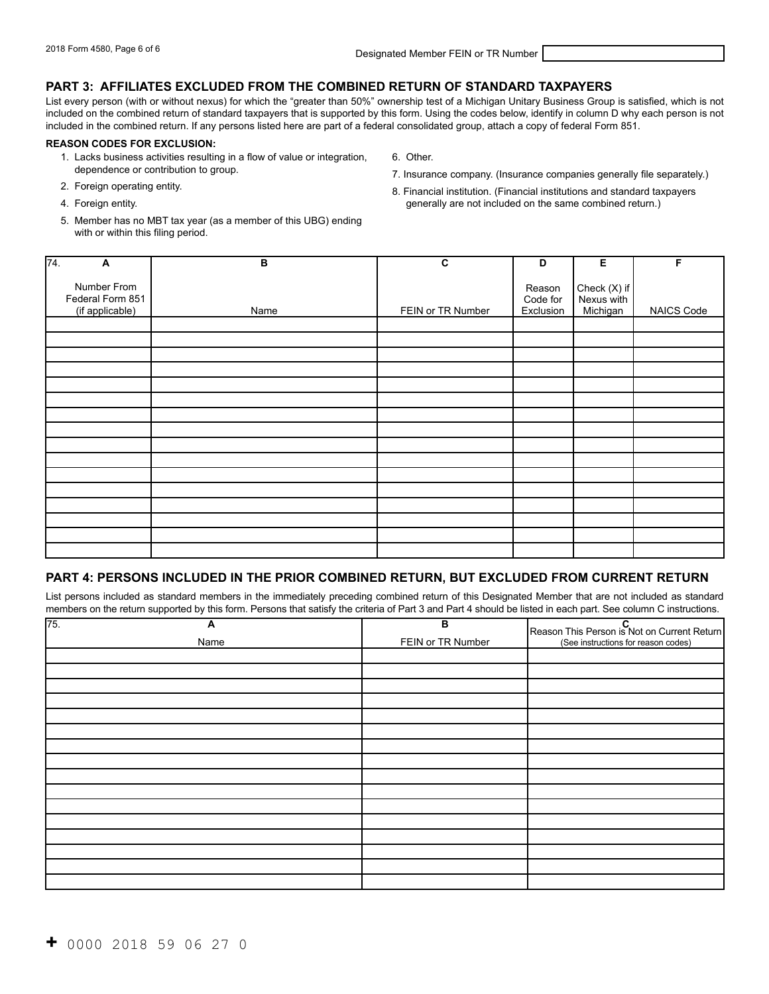### **PART 3: AFFILIATES EXCLUDED FROM THE COMBINED RETURN OF STANDARD TAXPAYERS**

List every person (with or without nexus) for which the "greater than 50%" ownership test of a Michigan Unitary Business Group is satisfied, which is not included on the combined return of standard taxpayers that is supported by this form. Using the codes below, identify in column D why each person is not included in the combined return. If any persons listed here are part of a federal consolidated group, attach a copy of federal Form 851.

#### **REASON CODES FOR EXCLUSION:**

- 1. Lacks business activities resulting in a flow of value or integration, 6. Other.
- 
- 
- 
- 4. Foreign entity. generally are not included on the same combined return.)
- 5. Member has no MBT tax year (as a member of this UBG) ending with or within this filing period.
- dependence or contribution to group.<br>
2. Foreign operating entity.<br>
2. Foreign operating entity.<br>
2. Foreign operating entity.<br>
2. Foreign operating entity. 8. Financial institution. (Financial institutions and standard taxpayers

| $\overline{74}$ .<br>A                             | В    | C                 | D                               | Е                                      | F          |
|----------------------------------------------------|------|-------------------|---------------------------------|----------------------------------------|------------|
|                                                    |      |                   |                                 |                                        |            |
| Number From<br>Federal Form 851<br>(if applicable) | Name | FEIN or TR Number | Reason<br>Code for<br>Exclusion | Check (X) if<br>Nexus with<br>Michigan | NAICS Code |
|                                                    |      |                   |                                 |                                        |            |
|                                                    |      |                   |                                 |                                        |            |
|                                                    |      |                   |                                 |                                        |            |
|                                                    |      |                   |                                 |                                        |            |
|                                                    |      |                   |                                 |                                        |            |
|                                                    |      |                   |                                 |                                        |            |
|                                                    |      |                   |                                 |                                        |            |
|                                                    |      |                   |                                 |                                        |            |
|                                                    |      |                   |                                 |                                        |            |
|                                                    |      |                   |                                 |                                        |            |
|                                                    |      |                   |                                 |                                        |            |
|                                                    |      |                   |                                 |                                        |            |
|                                                    |      |                   |                                 |                                        |            |
|                                                    |      |                   |                                 |                                        |            |
|                                                    |      |                   |                                 |                                        |            |
|                                                    |      |                   |                                 |                                        |            |

### **PART 4: PERSONS INCLUDED IN THE PRIOR COMBINED RETURN, BUT EXCLUDED FROM CURRENT RETURN**

List persons included as standard members in the immediately preceding combined return of this Designated Member that are not included as standard members on the return supported by this form. Persons that satisfy the criteria of Part 3 and Part 4 should be listed in each part. See column C instructions.

| $\sqrt{75}$ . | A    | в                 | Reason This Person is Not on Current Return |
|---------------|------|-------------------|---------------------------------------------|
|               | Name | FEIN or TR Number | (See instructions for reason codes)         |
|               |      |                   |                                             |
|               |      |                   |                                             |
|               |      |                   |                                             |
|               |      |                   |                                             |
|               |      |                   |                                             |
|               |      |                   |                                             |
|               |      |                   |                                             |
|               |      |                   |                                             |
|               |      |                   |                                             |
|               |      |                   |                                             |
|               |      |                   |                                             |
|               |      |                   |                                             |
|               |      |                   |                                             |
|               |      |                   |                                             |
|               |      |                   |                                             |
|               |      |                   |                                             |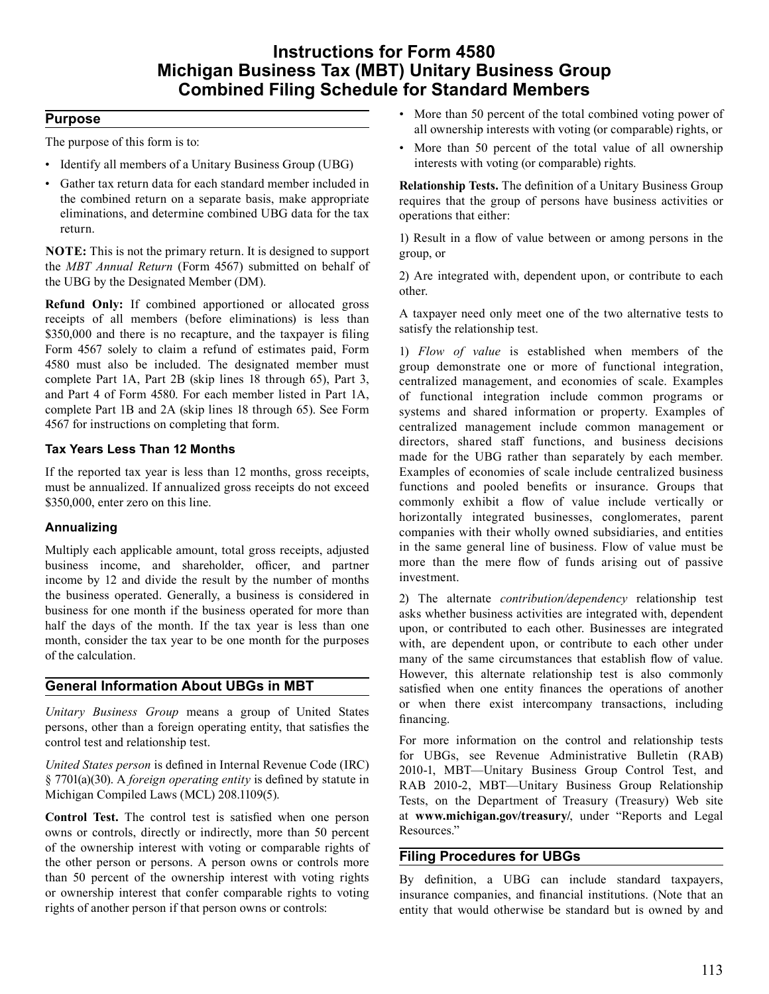# **Instructions for Form 4580 Michigan Business Tax (MBT) Unitary Business Group Combined Filing Schedule for Standard Members**

### **Purpose**

 The purpose of this form is to:

- Identify all members of a Unitary Business Group (UBG)
- Gather tax return data for each standard member included in the combined return on a separate basis, make appropriate eliminations, and determine combined UBG data for the tax return.

 **NOTE:** This is not the primary return. It is designed to support the *MBT Annual Return* (Form 4567) submitted on behalf of the UBG by the Designated Member (DM).

 **Refund Only:** If combined apportioned or allocated gross receipts of all members (before eliminations) is less than \$350,000 and there is no recapture, and the taxpayer is filing Form 4567 solely to claim a refund of estimates paid, Form 4580 must also be included. The designated member must complete Part 1A, Part 2B (skip lines 18 through 65), Part 3, and Part 4 of Form 4580. For each member listed in Part 1A, complete Part 1B and 2A (skip lines 18 through 65). See Form 4567 for instructions on completing that form.

## **Tax Years Less Than 12 Months**

 If the reported tax year is less than 12 months, gross receipts, must be annualized. If annualized gross receipts do not exceed \$350,000, enter zero on this line.

## **Annualizing**

 Multiply each applicable amount, total gross receipts, adjusted business income, and shareholder, officer, and partner income by 12 and divide the result by the number of months the business operated. Generally, a business is considered in business for one month if the business operated for more than half the days of the month. If the tax year is less than one month, consider the tax year to be one month for the purposes of the calculation.

# **General Information About UBGs in MBT**

 *Unitary Business Group* means a group of United States persons, other than a foreign operating entity, that satisfies the control test and relationship test.

 *United States person* is defined in Internal Revenue Code (IRC) § 7701(a)(30). A *foreign operating entity* is defined by statute in Michigan Compiled Laws (MCL) 208.1109(5).

 **Control Test.** The control test is satisfied when one person owns or controls, directly or indirectly, more than 50 percent of the ownership interest with voting or comparable rights of the other person or persons. A person owns or controls more than 50 percent of the ownership interest with voting rights or ownership interest that confer comparable rights to voting rights of another person if that person owns or controls:

- More than 50 percent of the total combined voting power of all ownership interests with voting (or comparable) rights, or
- interests with voting (or comparable) rights*.*  • More than 50 percent of the total value of all ownership

 **Relationship Tests.** The definition of a Unitary Business Group requires that the group of persons have business activities or operations that either:

 1) Result in a flow of value between or among persons in the group, or

 2) Are integrated with, dependent upon, or contribute to each other.

 A taxpayer need only meet one of the two alternative tests to satisfy the relationship test.

 1) *Flow of value* is established when members of the group demonstrate one or more of functional integration, centralized management, and economies of scale. Examples of functional integration include common programs or systems and shared information or property. Examples of centralized management include common management or directors, shared staff functions, and business decisions made for the UBG rather than separately by each member. Examples of economies of scale include centralized business functions and pooled benefits or insurance. Groups that commonly exhibit a flow of value include vertically or horizontally integrated businesses, conglomerates, parent companies with their wholly owned subsidiaries, and entities in the same general line of business. Flow of value must be more than the mere flow of funds arising out of passive investment.

 2) The alternate *contribution/dependency* relationship test asks whether business activities are integrated with, dependent upon, or contributed to each other. Businesses are integrated with, are dependent upon, or contribute to each other under many of the same circumstances that establish flow of value. However, this alternate relationship test is also commonly satisfied when one entity finances the operations of another or when there exist intercompany transactions, including financing.

 For more information on the control and relationship tests for UBGs, see Revenue Administrative Bulletin (RAB) 2010-1, MBT—Unitary Business Group Control Test, and RAB 2010-2, MBT—Unitary Business Group Relationship Tests, on the Department of Treasury (Treasury) Web site at **www.michigan.gov/treasury/**, under "Reports and Legal Resources."

# **Filing Procedures for UBGs**

 By definition, a UBG can include standard taxpayers, insurance companies, and financial institutions. (Note that an entity that would otherwise be standard but is owned by and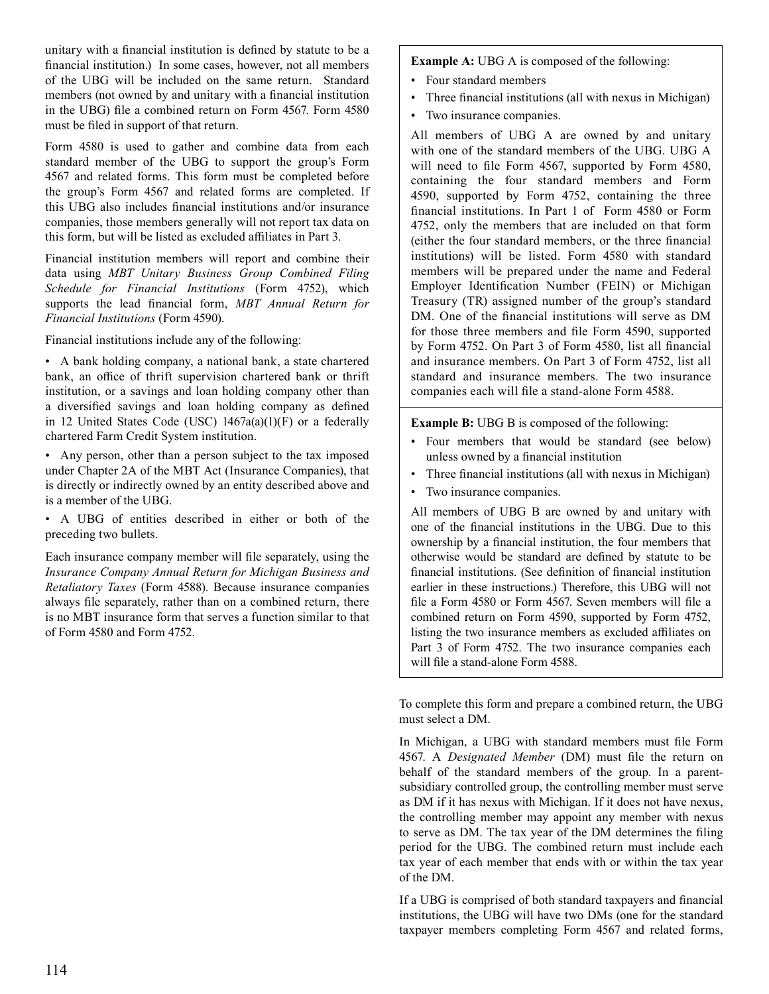unitary with a financial institution is defined by statute to be a financial institution.) In some cases, however, not all members of the UBG will be included on the same return. Standard members (not owned by and unitary with a financial institution in the UBG) file a combined return on Form 4567. Form 4580 must be filed in support of that return.

 Form 4580 is used to gather and combine data from each standard member of the UBG to support the group's Form 4567 and related forms. This form must be completed before the group's Form 4567 and related forms are completed. If this UBG also includes financial institutions and/or insurance companies, those members generally will not report tax data on this form, but will be listed as excluded affiliates in Part 3.

 Financial institution members will report and combine their data using *MBT Unitary Business Group Combined Filing Schedule for Financial Institutions* (Form 4752), which supports the lead financial form, *MBT Annual Return for Financial Institutions* (Form 4590).

 Financial institutions include any of the following:

 • A bank holding company, a national bank, a state chartered bank, an office of thrift supervision chartered bank or thrift institution, or a savings and loan holding company other than a diversified savings and loan holding company as defined in 12 United States Code (USC) 1467a(a)(1)(F) or a federally chartered Farm Credit System institution.

 • Any person, other than a person subject to the tax imposed under Chapter 2A of the MBT Act (Insurance Companies), that is directly or indirectly owned by an entity described above and is a member of the UBG.

 • A UBG of entities described in either or both of the preceding two bullets.

 Each insurance company member will file separately, using the *Retaliatory Taxes* (Form 4588). Because insurance companies always file separately, rather than on a combined return, there is no MBT insurance form that serves a function similar to that of Form 4580 and Form 4752. *Insurance Company Annual Return for Michigan Business and*   **Example A:** UBG A is composed of the following:

- Four standard members
- Three financial institutions (all with nexus in Michigan)
- Two insurance companies.

 All members of UBG A are owned by and unitary with one of the standard members of the UBG. UBG A will need to file Form 4567, supported by Form 4580, containing the four standard members and Form 4590, supported by Form 4752, containing the three financial institutions. In Part 1 of Form 4580 or Form 4752, only the members that are included on that form (either the four standard members, or the three financial institutions) will be listed. Form 4580 with standard members will be prepared under the name and Federal Employer Identification Number (FEIN) or Michigan Treasury (TR) assigned number of the group's standard DM. One of the financial institutions will serve as DM for those three members and file Form 4590, supported by Form 4752. On Part 3 of Form 4580, list all financial and insurance members. On Part 3 of Form 4752, list all standard and insurance members. The two insurance companies each will file a stand-alone Form 4588.

 **Example B:** UBG B is composed of the following:

- Four members that would be standard (see below) unless owned by a financial institution
- Three financial institutions (all with nexus in Michigan)
- Two insurance companies.

 All members of UBG B are owned by and unitary with one of the financial institutions in the UBG. Due to this ownership by a financial institution, the four members that otherwise would be standard are defined by statute to be financial institutions. (See definition of financial institution earlier in these instructions.) Therefore, this UBG will not file a Form 4580 or Form 4567. Seven members will file a combined return on Form 4590, supported by Form 4752, listing the two insurance members as excluded affiliates on Part 3 of Form 4752. The two insurance companies each will file a stand-alone Form 4588.

 To complete this form and prepare a combined return, the UBG must select a DM.

 In Michigan, a UBG with standard members must file Form 4567. A *Designated Member* (DM) must file the return on behalf of the standard members of the group. In a parent- subsidiary controlled group, the controlling member must serve as DM if it has nexus with Michigan. If it does not have nexus, the controlling member may appoint any member with nexus to serve as DM. The tax year of the DM determines the filing period for the UBG. The combined return must include each tax year of each member that ends with or within the tax year of the DM.

 If a UBG is comprised of both standard taxpayers and financial institutions, the UBG will have two DMs (one for the standard taxpayer members completing Form 4567 and related forms,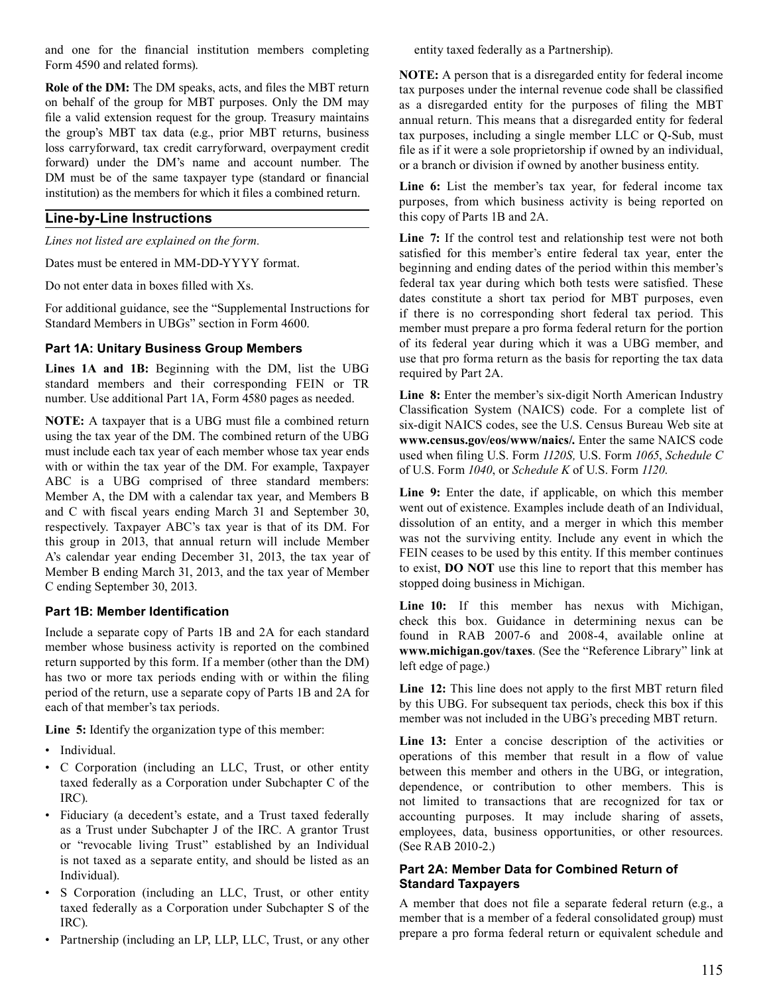and one for the financial institution members completing Form 4590 and related forms).

 **Role of the DM:** The DM speaks, acts, and files the MBT return on behalf of the group for MBT purposes. Only the DM may file a valid extension request for the group. Treasury maintains the group's MBT tax data (e.g., prior MBT returns, business loss carryforward, tax credit carryforward, overpayment credit forward) under the DM's name and account number. The DM must be of the same taxpayer type (standard or financial institution) as the members for which it files a combined return.

### **Line-by-Line Instructions**

*Lines not listed are explained on the form.* 

 Dates must be entered in MM-DD-YYYY format.

 Do not enter data in boxes filled with Xs.

 For additional guidance, see the "Supplemental Instructions for Standard Members in UBGs" section in Form 4600.

### **Part 1A: Unitary Business Group Members**

 **Lines 1A and 1B:** Beginning with the DM, list the UBG standard members and their corresponding FEIN or TR number. Use additional Part 1A, Form 4580 pages as needed.

 **NOTE:** A taxpayer that is a UBG must file a combined return using the tax year of the DM. The combined return of the UBG must include each tax year of each member whose tax year ends with or within the tax year of the DM. For example, Taxpayer ABC is a UBG comprised of three standard members: Member A, the DM with a calendar tax year, and Members B and C with fiscal years ending March 31 and September 30, respectively. Taxpayer ABC's tax year is that of its DM. For this group in 2013, that annual return will include Member A's calendar year ending December 31, 2013, the tax year of Member B ending March 31, 2013, and the tax year of Member C ending September 30, 2013.

#### **Part 1B: Member Identification**

 Include a separate copy of Parts 1B and 2A for each standard member whose business activity is reported on the combined return supported by this form. If a member (other than the DM) has two or more tax periods ending with or within the filing period of the return, use a separate copy of Parts 1B and 2A for each of that member's tax periods.

 **Line 5:** Identify the organization type of this member:

- Individual.
- C Corporation (including an LLC, Trust, or other entity taxed federally as a Corporation under Subchapter C of the IRC).
- Fiduciary (a decedent's estate, and a Trust taxed federally as a Trust under Subchapter J of the IRC. A grantor Trust or "revocable living Trust" established by an Individual is not taxed as a separate entity, and should be listed as an Individual).
- S Corporation (including an LLC, Trust, or other entity taxed federally as a Corporation under Subchapter S of the IRC).
- Partnership (including an LP, LLP, LLC, Trust, or any other

 entity taxed federally as a Partnership).

 **NOTE:** A person that is a disregarded entity for federal income tax purposes under the internal revenue code shall be classified as a disregarded entity for the purposes of filing the MBT annual return. This means that a disregarded entity for federal tax purposes, including a single member LLC or Q-Sub, must file as if it were a sole proprietorship if owned by an individual, or a branch or division if owned by another business entity.

 **Line 6:** List the member's tax year, for federal income tax purposes, from which business activity is being reported on this copy of Parts 1B and 2A.

 **Line 7:** If the control test and relationship test were not both satisfied for this member's entire federal tax year, enter the beginning and ending dates of the period within this member's federal tax year during which both tests were satisfied. These dates constitute a short tax period for MBT purposes, even if there is no corresponding short federal tax period. This member must prepare a pro forma federal return for the portion of its federal year during which it was a UBG member, and use that pro forma return as the basis for reporting the tax data required by Part 2A.

 **Line 8:** Enter the member's six-digit North American Industry Classification System (NAICS) code. For a complete list of six-digit NAICS codes, see the U.S. Census Bureau Web site at **www.census.gov/eos/www/naics/.** Enter the same NAICS code used when filing U.S. Form *1120S,* U.S. Form *1065*, *Schedule C*  of U.S. Form *1040*, or *Schedule K* of U.S. Form *1120*.

 **Line 9:** Enter the date, if applicable, on which this member went out of existence. Examples include death of an Individual, dissolution of an entity, and a merger in which this member was not the surviving entity. Include any event in which the FEIN ceases to be used by this entity. If this member continues to exist, **DO NOT** use this line to report that this member has stopped doing business in Michigan.

 **Line 10:** If this member has nexus with Michigan, check this box. Guidance in determining nexus can be found in RAB 2007-6 and 2008-4, available online at **www.michigan.gov/taxes**. (See the "Reference Library" link at left edge of page.)

 **Line 12:** This line does not apply to the first MBT return filed by this UBG. For subsequent tax periods, check this box if this member was not included in the UBG's preceding MBT return.

 **Line 13:** Enter a concise description of the activities or operations of this member that result in a flow of value between this member and others in the UBG, or integration, dependence, or contribution to other members. This is not limited to transactions that are recognized for tax or accounting purposes. It may include sharing of assets, employees, data, business opportunities, or other resources. (See RAB 2010-2.)

### **Part 2A: Member Data for Combined Return of Standard Taxpayers**

 A member that does not file a separate federal return (e.g., a member that is a member of a federal consolidated group) must prepare a pro forma federal return or equivalent schedule and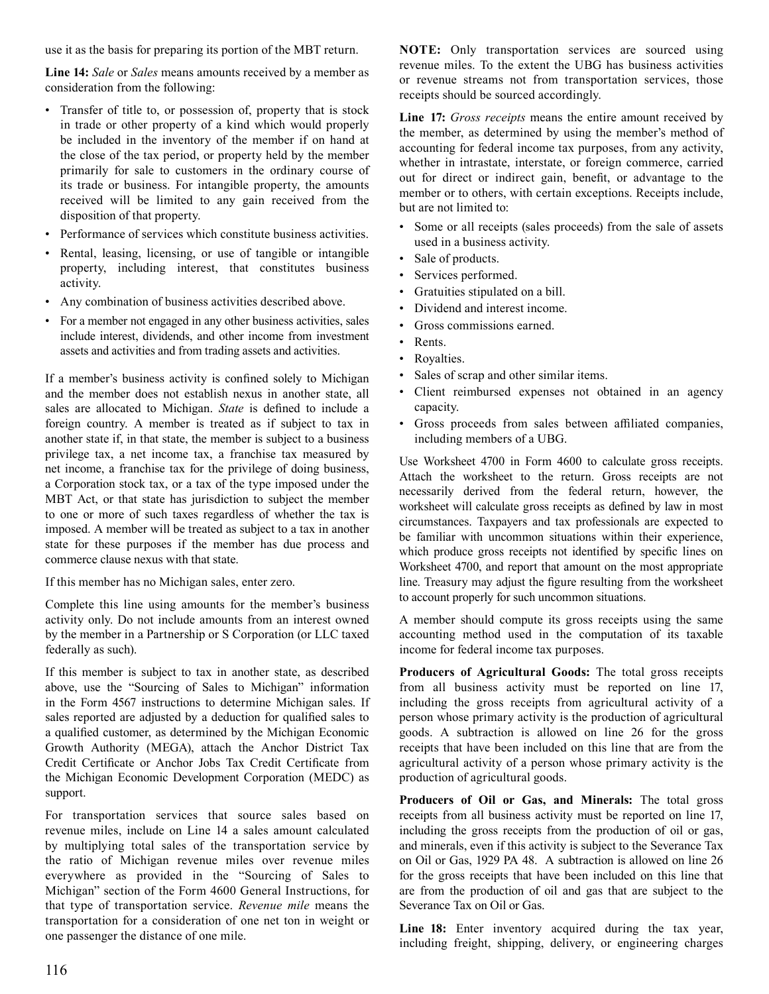use it as the basis for preparing its portion of the MBT return.

 **Line 14:** *Sale* or *Sales* means amounts received by a member as consideration from the following:

- Transfer of title to, or possession of, property that is stock in trade or other property of a kind which would properly be included in the inventory of the member if on hand at the close of the tax period, or property held by the member primarily for sale to customers in the ordinary course of its trade or business. For intangible property, the amounts received will be limited to any gain received from the disposition of that property.
- Performance of services which constitute business activities.
- Rental, leasing, licensing, or use of tangible or intangible property, including interest, that constitutes business activity.
- Any combination of business activities described above.
- For a member not engaged in any other business activities, sales include interest, dividends, and other income from investment assets and activities and from trading assets and activities.

 If a member's business activity is confined solely to Michigan and the member does not establish nexus in another state, all sales are allocated to Michigan. *State* is defined to include a foreign country. A member is treated as if subject to tax in another state if, in that state, the member is subject to a business privilege tax, a net income tax, a franchise tax measured by net income, a franchise tax for the privilege of doing business, a Corporation stock tax, or a tax of the type imposed under the MBT Act, or that state has jurisdiction to subject the member to one or more of such taxes regardless of whether the tax is imposed. A member will be treated as subject to a tax in another state for these purposes if the member has due process and commerce clause nexus with that state.

 If this member has no Michigan sales, enter zero.

 Complete this line using amounts for the member's business activity only. Do not include amounts from an interest owned by the member in a Partnership or S Corporation (or LLC taxed federally as such).

 If this member is subject to tax in another state, as described above, use the "Sourcing of Sales to Michigan" information in the Form 4567 instructions to determine Michigan sales. If sales reported are adjusted by a deduction for qualified sales to a qualified customer, as determined by the Michigan Economic Growth Authority (MEGA), attach the Anchor District Tax Credit Certificate or Anchor Jobs Tax Credit Certificate from the Michigan Economic Development Corporation (MEDC) as support.

 For transportation services that source sales based on revenue miles, include on Line 14 a sales amount calculated by multiplying total sales of the transportation service by the ratio of Michigan revenue miles over revenue miles everywhere as provided in the "Sourcing of Sales to Michigan" section of the Form 4600 General Instructions, for that type of transportation service. *Revenue mile* means the transportation for a consideration of one net ton in weight or one passenger the distance of one mile.

 **NOTE:** Only transportation services are sourced using revenue miles. To the extent the UBG has business activities or revenue streams not from transportation services, those receipts should be sourced accordingly.

 **Line 17:** *Gross receipts* means the entire amount received by the member, as determined by using the member's method of accounting for federal income tax purposes, from any activity, whether in intrastate, interstate, or foreign commerce, carried out for direct or indirect gain, benefit, or advantage to the member or to others, with certain exceptions. Receipts include, but are not limited to:

- Some or all receipts (sales proceeds) from the sale of assets used in a business activity.
- Sale of products.
- Services performed.
- Gratuities stipulated on a bill.
- Dividend and interest income.
- Gross commissions earned.
- Rents.
- Royalties.
- Sales of scrap and other similar items.
- Client reimbursed expenses not obtained in an agency capacity.
- Gross proceeds from sales between affiliated companies, including members of a UBG.

 Use Worksheet 4700 in Form 4600 to calculate gross receipts. Attach the worksheet to the return. Gross receipts are not necessarily derived from the federal return, however, the worksheet will calculate gross receipts as defined by law in most circumstances. Taxpayers and tax professionals are expected to be familiar with uncommon situations within their experience, which produce gross receipts not identified by specific lines on Worksheet 4700, and report that amount on the most appropriate line. Treasury may adjust the figure resulting from the worksheet to account properly for such uncommon situations.

 A member should compute its gross receipts using the same accounting method used in the computation of its taxable income for federal income tax purposes.

 **Producers of Agricultural Goods:** The total gross receipts from all business activity must be reported on line 17, including the gross receipts from agricultural activity of a person whose primary activity is the production of agricultural goods. A subtraction is allowed on line 26 for the gross receipts that have been included on this line that are from the agricultural activity of a person whose primary activity is the production of agricultural goods.

 **Producers of Oil or Gas, and Minerals:** The total gross receipts from all business activity must be reported on line 17, including the gross receipts from the production of oil or gas, and minerals, even if this activity is subject to the Severance Tax on Oil or Gas, 1929 PA 48. A subtraction is allowed on line 26 for the gross receipts that have been included on this line that are from the production of oil and gas that are subject to the Severance Tax on Oil or Gas.

 **Line 18:** Enter inventory acquired during the tax year, including freight, shipping, delivery, or engineering charges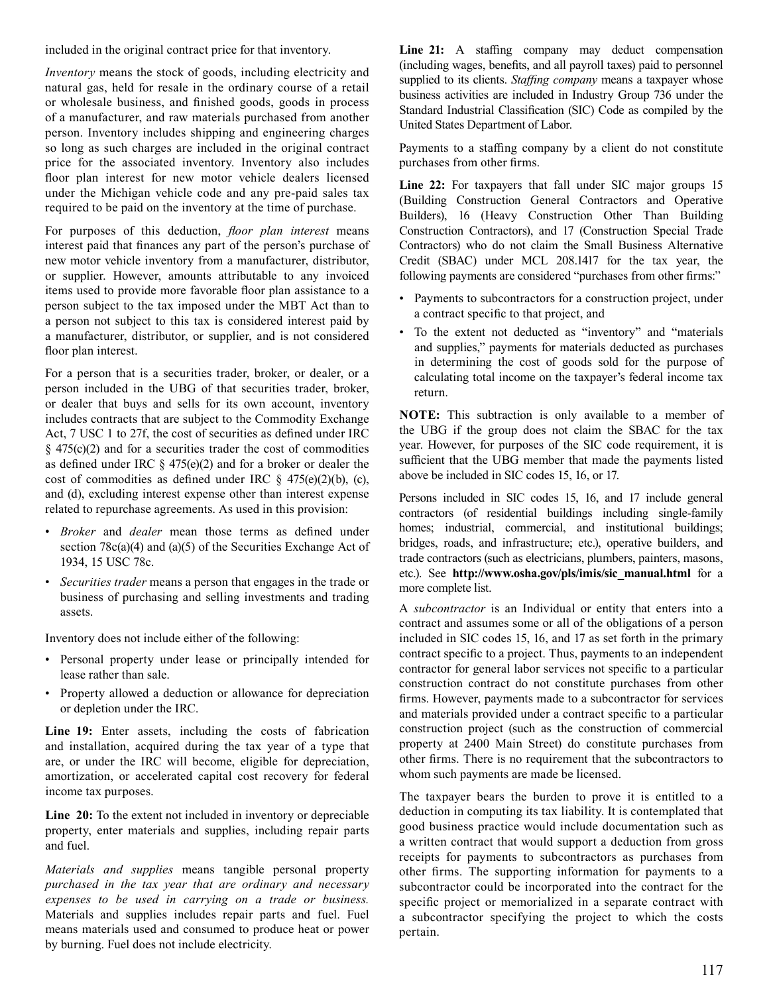included in the original contract price for that inventory.

 *Inventory* means the stock of goods, including electricity and natural gas, held for resale in the ordinary course of a retail or wholesale business, and finished goods, goods in process of a manufacturer, and raw materials purchased from another person. Inventory includes shipping and engineering charges so long as such charges are included in the original contract price for the associated inventory. Inventory also includes floor plan interest for new motor vehicle dealers licensed under the Michigan vehicle code and any pre-paid sales tax required to be paid on the inventory at the time of purchase.

 For purposes of this deduction, *floor plan interest* means interest paid that finances any part of the person's purchase of new motor vehicle inventory from a manufacturer, distributor, or supplier. However, amounts attributable to any invoiced items used to provide more favorable floor plan assistance to a person subject to the tax imposed under the MBT Act than to a person not subject to this tax is considered interest paid by a manufacturer, distributor, or supplier, and is not considered floor plan interest.

 For a person that is a securities trader, broker, or dealer, or a person included in the UBG of that securities trader, broker, or dealer that buys and sells for its own account, inventory includes contracts that are subject to the Commodity Exchange Act, 7 USC 1 to 27f, the cost of securities as defined under IRC  $\S$  475(c)(2) and for a securities trader the cost of commodities as defined under IRC § 475(e)(2) and for a broker or dealer the cost of commodities as defined under IRC  $\S$  475(e)(2)(b), (c), and (d), excluding interest expense other than interest expense related to repurchase agreements. As used in this provision:

- *Broker* and *dealer* mean those terms as defined under section 78c(a)(4) and (a)(5) of the Securities Exchange Act of 1934, 15 USC 78c.
- *Securities trader* means a person that engages in the trade or business of purchasing and selling investments and trading assets.

 Inventory does not include either of the following:

- Personal property under lease or principally intended for lease rather than sale.
- Property allowed a deduction or allowance for depreciation or depletion under the IRC.

 **Line 19:** Enter assets, including the costs of fabrication and installation, acquired during the tax year of a type that are, or under the IRC will become, eligible for depreciation, amortization, or accelerated capital cost recovery for federal income tax purposes.

 **Line 20:** To the extent not included in inventory or depreciable property, enter materials and supplies, including repair parts and fuel.

 *Materials and supplies* means tangible personal property Materials and supplies includes repair parts and fuel. Fuel means materials used and consumed to produce heat or power by burning. Fuel does not include electricity. *purchased in the tax year that are ordinary and necessary expenses to be used in carrying on a trade or business.* 

 **Line 21:** A staffing company may deduct compensation (including wages, benefits, and all payroll taxes) paid to personnel supplied to its clients. *Staffing company* means a taxpayer whose business activities are included in Industry Group 736 under the Standard Industrial Classification (SIC) Code as compiled by the United States Department of Labor.

 Payments to a staffing company by a client do not constitute purchases from other firms.

 **Line 22:** For taxpayers that fall under SIC major groups 15 (Building Construction General Contractors and Operative Builders), 16 (Heavy Construction Other Than Building Construction Contractors), and 17 (Construction Special Trade Contractors) who do not claim the Small Business Alternative Credit (SBAC) under MCL 208.1417 for the tax year, the following payments are considered "purchases from other firms:"

- Payments to subcontractors for a construction project, under a contract specific to that project, and
- To the extent not deducted as "inventory" and "materials and supplies," payments for materials deducted as purchases in determining the cost of goods sold for the purpose of calculating total income on the taxpayer's federal income tax return.

 **NOTE:** This subtraction is only available to a member of the UBG if the group does not claim the SBAC for the tax year. However, for purposes of the SIC code requirement, it is sufficient that the UBG member that made the payments listed above be included in SIC codes 15, 16, or 17.

 Persons included in SIC codes 15, 16, and 17 include general contractors (of residential buildings including single-family homes; industrial, commercial, and institutional buildings; bridges, roads, and infrastructure; etc.), operative builders, and trade contractors (such as electricians, plumbers, painters, masons, etc.). See **http://www.osha.gov/pls/imis/sic\_manual.html** for a more complete list.

 A *subcontractor* is an Individual or entity that enters into a contract and assumes some or all of the obligations of a person included in SIC codes 15, 16, and 17 as set forth in the primary contract specific to a project. Thus, payments to an independent contractor for general labor services not specific to a particular construction contract do not constitute purchases from other firms. However, payments made to a subcontractor for services and materials provided under a contract specific to a particular construction project (such as the construction of commercial property at 2400 Main Street) do constitute purchases from other firms. There is no requirement that the subcontractors to whom such payments are made be licensed.

 The taxpayer bears the burden to prove it is entitled to a deduction in computing its tax liability. It is contemplated that good business practice would include documentation such as a written contract that would support a deduction from gross receipts for payments to subcontractors as purchases from other firms. The supporting information for payments to a subcontractor could be incorporated into the contract for the specific project or memorialized in a separate contract with a subcontractor specifying the project to which the costs pertain.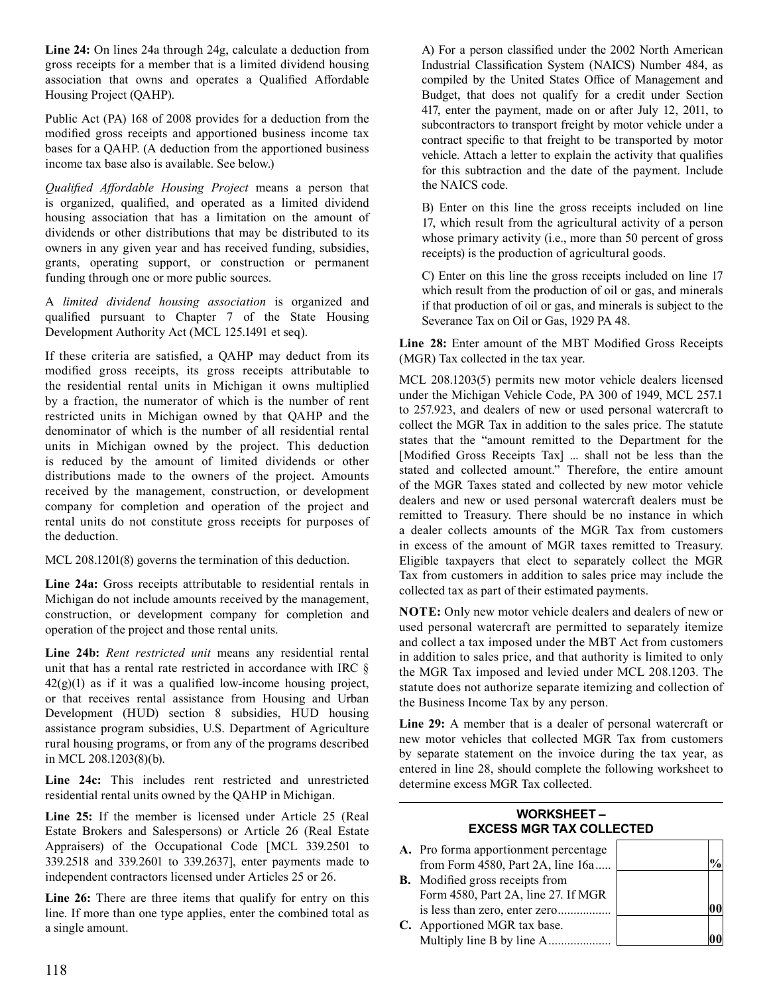**Line 24:** On lines 24a through 24g, calculate a deduction from gross receipts for a member that is a limited dividend housing association that owns and operates a Qualified Affordable Housing Project (QAHP).

 Public Act (PA) 168 of 2008 provides for a deduction from the modified gross receipts and apportioned business income tax bases for a QAHP. (A deduction from the apportioned business income tax base also is available. See below.)

 *Qualified Affordable Housing Project* means a person that is organized, qualified, and operated as a limited dividend housing association that has a limitation on the amount of dividends or other distributions that may be distributed to its owners in any given year and has received funding, subsidies, grants, operating support, or construction or permanent funding through one or more public sources.

A limited dividend housing association is organized and qualified pursuant to Chapter 7 of the State Housing Development Authority Act (MCL 125.1491 et seq).

 If these criteria are satisfied, a QAHP may deduct from its modified gross receipts, its gross receipts attributable to the residential rental units in Michigan it owns multiplied by a fraction, the numerator of which is the number of rent restricted units in Michigan owned by that QAHP and the denominator of which is the number of all residential rental units in Michigan owned by the project. This deduction is reduced by the amount of limited dividends or other distributions made to the owners of the project. Amounts received by the management, construction, or development company for completion and operation of the project and rental units do not constitute gross receipts for purposes of the deduction.

 MCL 208.1201(8) governs the termination of this deduction.

 **Line 24a:** Gross receipts attributable to residential rentals in Michigan do not include amounts received by the management, construction, or development company for completion and operation of the project and those rental units.

 **Line 24b:** *Rent restricted unit* means any residential rental unit that has a rental rate restricted in accordance with IRC §  $42(g)(1)$  as if it was a qualified low-income housing project, or that receives rental assistance from Housing and Urban Development (HUD) section 8 subsidies, HUD housing assistance program subsidies, U.S. Department of Agriculture rural housing programs, or from any of the programs described in MCL 208.1203(8)(b).

 **Line 24c:** This includes rent restricted and unrestricted residential rental units owned by the QAHP in Michigan.

 **Line 25:** If the member is licensed under Article 25 (Real Estate Brokers and Salespersons) or Article 26 (Real Estate Appraisers) of the Occupational Code [MCL 339.2501 to 339.2518 and 339.2601 to 339.2637], enter payments made to independent contractors licensed under Articles 25 or 26.

 **Line 26:** There are three items that qualify for entry on this line. If more than one type applies, enter the combined total as a single amount.

 A) For a person classified under the 2002 North American Industrial Classification System (NAICS) Number 484, as compiled by the United States Office of Management and Budget, that does not qualify for a credit under Section 417, enter the payment, made on or after July 12, 2011, to subcontractors to transport freight by motor vehicle under a contract specific to that freight to be transported by motor vehicle. Attach a letter to explain the activity that qualifies for this subtraction and the date of the payment. Include the NAICS code.

 B) Enter on this line the gross receipts included on line 17, which result from the agricultural activity of a person whose primary activity (i.e., more than 50 percent of gross receipts) is the production of agricultural goods.

 C) Enter on this line the gross receipts included on line 17 which result from the production of oil or gas, and minerals if that production of oil or gas, and minerals is subject to the Severance Tax on Oil or Gas, 1929 PA 48.

 **Line 28:** Enter amount of the MBT Modified Gross Receipts (MGR) Tax collected in the tax year.

 MCL 208.1203(5) permits new motor vehicle dealers licensed under the Michigan Vehicle Code, PA 300 of 1949, MCL 257.1 to 257.923, and dealers of new or used personal watercraft to collect the MGR Tax in addition to the sales price. The statute states that the "amount remitted to the Department for the [Modified Gross Receipts Tax] ... shall not be less than the stated and collected amount." Therefore, the entire amount of the MGR Taxes stated and collected by new motor vehicle dealers and new or used personal watercraft dealers must be remitted to Treasury. There should be no instance in which a dealer collects amounts of the MGR Tax from customers in excess of the amount of MGR taxes remitted to Treasury. Eligible taxpayers that elect to separately collect the MGR Tax from customers in addition to sales price may include the collected tax as part of their estimated payments.

 **NOTE:** Only new motor vehicle dealers and dealers of new or used personal watercraft are permitted to separately itemize and collect a tax imposed under the MBT Act from customers in addition to sales price, and that authority is limited to only the MGR Tax imposed and levied under MCL 208.1203. The statute does not authorize separate itemizing and collection of the Business Income Tax by any person.

 **Line 29:** A member that is a dealer of personal watercraft or new motor vehicles that collected MGR Tax from customers by separate statement on the invoice during the tax year, as entered in line 28, should complete the following worksheet to determine excess MGR Tax collected.

# **WORKSHEET – EXCESS MGR TAX COLLECTED**

| A. Pro forma apportionment percentage  |  |
|----------------------------------------|--|
| from Form 4580, Part 2A, line 16a      |  |
| <b>B.</b> Modified gross receipts from |  |
| Form 4580, Part 2A, line 27. If MGR    |  |
| is less than zero, enter zero          |  |
| C. Apportioned MGR tax base.           |  |
| Multiply line B by line A              |  |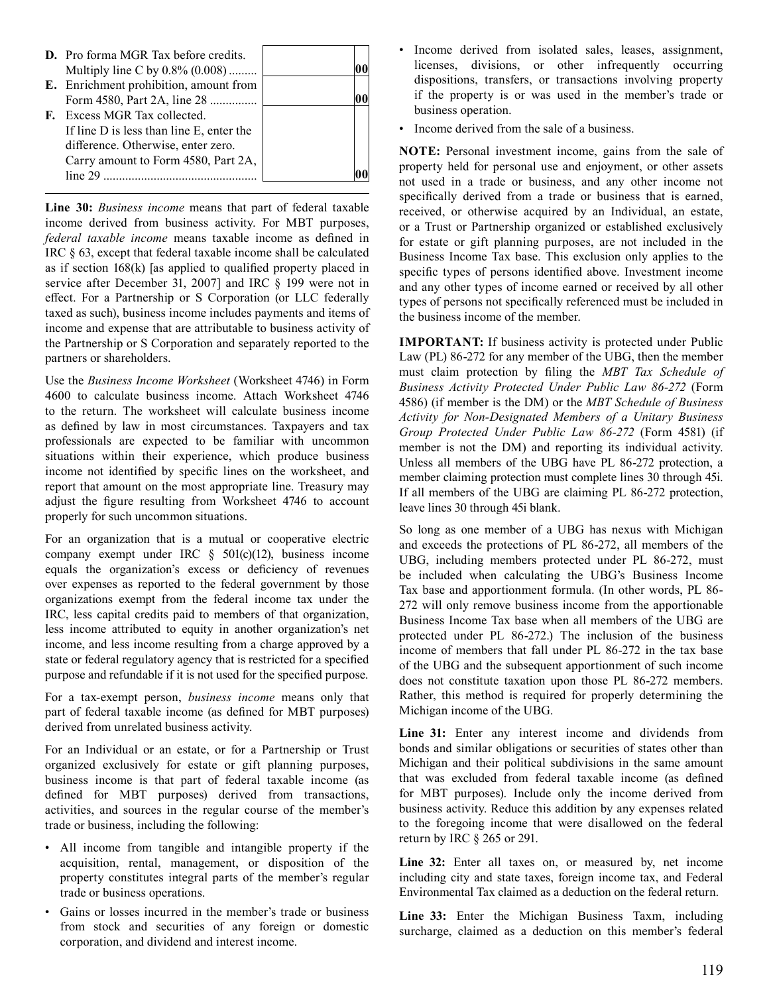| <b>D.</b> Pro forma MGR Tax before credits. |  |
|---------------------------------------------|--|
| Multiply line C by 0.8% (0.008)             |  |
| E. Enrichment prohibition, amount from      |  |
| Form 4580, Part 2A, line 28                 |  |
| <b>F.</b> Excess MGR Tax collected.         |  |
| If line D is less than line E, enter the    |  |
| difference. Otherwise, enter zero.          |  |
| Carry amount to Form 4580, Part 2A,         |  |
| line 29                                     |  |

 **Line 30:** *Business income* means that part of federal taxable income derived from business activity. For MBT purposes, *federal taxable income* means taxable income as defined in IRC § 63, except that federal taxable income shall be calculated as if section 168(k) [as applied to qualified property placed in service after December 31, 2007] and IRC § 199 were not in effect. For a Partnership or S Corporation (or LLC federally taxed as such), business income includes payments and items of income and expense that are attributable to business activity of the Partnership or S Corporation and separately reported to the partners or shareholders.

 Use the *Business Income Worksheet* (Worksheet 4746) in Form 4600 to calculate business income. Attach Worksheet 4746 to the return. The worksheet will calculate business income as defined by law in most circumstances. Taxpayers and tax professionals are expected to be familiar with uncommon situations within their experience, which produce business income not identified by specific lines on the worksheet, and report that amount on the most appropriate line. Treasury may adjust the figure resulting from Worksheet 4746 to account properly for such uncommon situations.

 For an organization that is a mutual or cooperative electric company exempt under IRC  $\S$  501(c)(12), business income equals the organization's excess or deficiency of revenues over expenses as reported to the federal government by those organizations exempt from the federal income tax under the IRC, less capital credits paid to members of that organization, less income attributed to equity in another organization's net income, and less income resulting from a charge approved by a state or federal regulatory agency that is restricted for a specified purpose and refundable if it is not used for the specified purpose.

 For a tax-exempt person, *business income* means only that part of federal taxable income (as defined for MBT purposes) derived from unrelated business activity.

 For an Individual or an estate, or for a Partnership or Trust organized exclusively for estate or gift planning purposes, business income is that part of federal taxable income (as defined for MBT purposes) derived from transactions, activities, and sources in the regular course of the member's trade or business, including the following:

- All income from tangible and intangible property if the acquisition, rental, management, or disposition of the property constitutes integral parts of the member's regular trade or business operations.
- Gains or losses incurred in the member's trade or business from stock and securities of any foreign or domestic corporation, and dividend and interest income.
- Income derived from isolated sales, leases, assignment, licenses, divisions, or other infrequently occurring dispositions, transfers, or transactions involving property if the property is or was used in the member's trade or business operation.
- Income derived from the sale of a business.

 **NOTE:** Personal investment income, gains from the sale of property held for personal use and enjoyment, or other assets not used in a trade or business, and any other income not specifically derived from a trade or business that is earned, received, or otherwise acquired by an Individual, an estate, or a Trust or Partnership organized or established exclusively for estate or gift planning purposes, are not included in the Business Income Tax base. This exclusion only applies to the specific types of persons identified above. Investment income and any other types of income earned or received by all other types of persons not specifically referenced must be included in the business income of the member.

 **IMPORTANT:** If business activity is protected under Public Law (PL) 86-272 for any member of the UBG, then the member must claim protection by filing the *MBT Tax Schedule of Business Activity Protected Under Public Law 86-272* (Form 4586) (if member is the DM) or the *MBT Schedule of Business Group Protected Under Public Law 86-272* (Form 4581) (if member is not the DM) and reporting its individual activity. Unless all members of the UBG have PL 86-272 protection, a member claiming protection must complete lines 30 through 45i. If all members of the UBG are claiming PL 86-272 protection, leave lines 30 through 45i blank. *Activity for Non-Designated Members of a Unitary Business* 

 So long as one member of a UBG has nexus with Michigan and exceeds the protections of PL 86-272, all members of the UBG, including members protected under PL 86-272, must be included when calculating the UBG's Business Income Tax base and apportionment formula. (In other words, PL 86- 272 will only remove business income from the apportionable Business Income Tax base when all members of the UBG are protected under PL 86-272.) The inclusion of the business income of members that fall under PL 86-272 in the tax base of the UBG and the subsequent apportionment of such income does not constitute taxation upon those PL 86-272 members. Rather, this method is required for properly determining the Michigan income of the UBG.

 **Line 31:** Enter any interest income and dividends from bonds and similar obligations or securities of states other than Michigan and their political subdivisions in the same amount that was excluded from federal taxable income (as defined for MBT purposes). Include only the income derived from business activity. Reduce this addition by any expenses related to the foregoing income that were disallowed on the federal return by IRC § 265 or 291.

Line 32: Enter all taxes on, or measured by, net income including city and state taxes, foreign income tax, and Federal Environmental Tax claimed as a deduction on the federal return.

 **Line 33:** Enter the Michigan Business Taxm, including surcharge, claimed as a deduction on this member's federal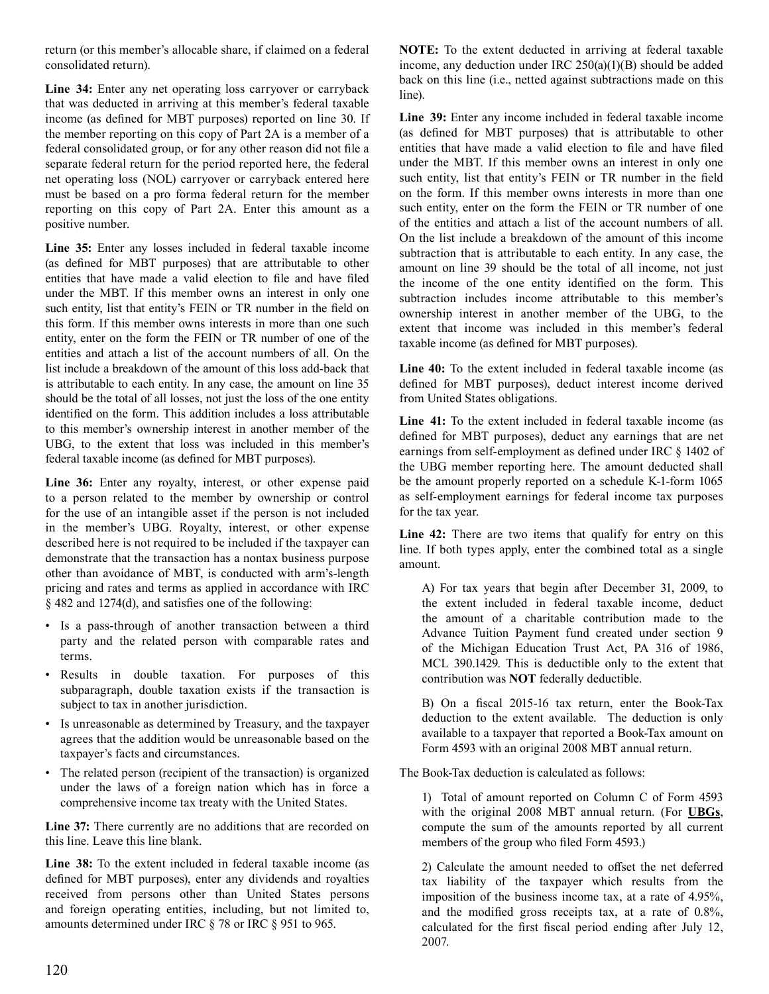return (or this member's allocable share, if claimed on a federal consolidated return).

 **Line 34:** Enter any net operating loss carryover or carryback that was deducted in arriving at this member's federal taxable income (as defined for MBT purposes) reported on line 30. If the member reporting on this copy of Part 2A is a member of a federal consolidated group, or for any other reason did not file a separate federal return for the period reported here, the federal net operating loss (NOL) carryover or carryback entered here must be based on a pro forma federal return for the member reporting on this copy of Part 2A. Enter this amount as a positive number.

 **Line 35:** Enter any losses included in federal taxable income (as defined for MBT purposes) that are attributable to other entities that have made a valid election to file and have filed under the MBT. If this member owns an interest in only one such entity, list that entity's FEIN or TR number in the field on this form. If this member owns interests in more than one such entity, enter on the form the FEIN or TR number of one of the entities and attach a list of the account numbers of all. On the list include a breakdown of the amount of this loss add-back that is attributable to each entity. In any case, the amount on line 35 should be the total of all losses, not just the loss of the one entity identified on the form. This addition includes a loss attributable to this member's ownership interest in another member of the UBG, to the extent that loss was included in this member's federal taxable income (as defined for MBT purposes).

 **Line 36:** Enter any royalty, interest, or other expense paid to a person related to the member by ownership or control for the use of an intangible asset if the person is not included in the member's UBG. Royalty, interest, or other expense described here is not required to be included if the taxpayer can demonstrate that the transaction has a nontax business purpose other than avoidance of MBT, is conducted with arm's-length pricing and rates and terms as applied in accordance with IRC § 482 and 1274(d), and satisfies one of the following:

- Is a pass-through of another transaction between a third party and the related person with comparable rates and terms.
- Results in double taxation. For purposes of this subparagraph, double taxation exists if the transaction is subject to tax in another jurisdiction.
- Is unreasonable as determined by Treasury, and the taxpayer agrees that the addition would be unreasonable based on the taxpayer's facts and circumstances.
- The related person (recipient of the transaction) is organized under the laws of a foreign nation which has in force a comprehensive income tax treaty with the United States.

 **Line 37:** There currently are no additions that are recorded on this line. Leave this line blank.

 **Line 38:** To the extent included in federal taxable income (as defined for MBT purposes), enter any dividends and royalties received from persons other than United States persons and foreign operating entities, including, but not limited to, amounts determined under IRC § 78 or IRC § 951 to 965.

 **NOTE:** To the extent deducted in arriving at federal taxable income, any deduction under IRC 250(a)(1)(B) should be added back on this line (i.e., netted against subtractions made on this line).

 **Line 39:** Enter any income included in federal taxable income (as defined for MBT purposes) that is attributable to other entities that have made a valid election to file and have filed under the MBT. If this member owns an interest in only one such entity, list that entity's FEIN or TR number in the field on the form. If this member owns interests in more than one such entity, enter on the form the FEIN or TR number of one of the entities and attach a list of the account numbers of all. On the list include a breakdown of the amount of this income subtraction that is attributable to each entity. In any case, the amount on line 39 should be the total of all income, not just the income of the one entity identified on the form. This subtraction includes income attributable to this member's ownership interest in another member of the UBG, to the extent that income was included in this member's federal taxable income (as defined for MBT purposes).

 **Line 40:** To the extent included in federal taxable income (as defined for MBT purposes), deduct interest income derived from United States obligations.

 **Line 41:** To the extent included in federal taxable income (as defined for MBT purposes), deduct any earnings that are net earnings from self-employment as defined under IRC § 1402 of the UBG member reporting here. The amount deducted shall be the amount properly reported on a schedule K-1-form 1065 as self-employment earnings for federal income tax purposes for the tax year.

 **Line 42:** There are two items that qualify for entry on this line. If both types apply, enter the combined total as a single amount.

 A) For tax years that begin after December 31, 2009, to the extent included in federal taxable income, deduct the amount of a charitable contribution made to the Advance Tuition Payment fund created under section 9 of the Michigan Education Trust Act, PA 316 of 1986, MCL 390.1429. This is deductible only to the extent that contribution was **NOT** federally deductible.

 B) On a fiscal 2015-16 tax return, enter the Book-Tax deduction to the extent available. The deduction is only available to a taxpayer that reported a Book-Tax amount on Form 4593 with an original 2008 MBT annual return.

 The Book-Tax deduction is calculated as follows:

 1) Total of amount reported on Column C of Form 4593 with the original 2008 MBT annual return. (For **UBGs**, compute the sum of the amounts reported by all current members of the group who filed Form 4593.)

 2) Calculate the amount needed to offset the net deferred tax liability of the taxpayer which results from the imposition of the business income tax, at a rate of 4.95%, and the modified gross receipts tax, at a rate of 0.8%, calculated for the first fiscal period ending after July 12, 2007.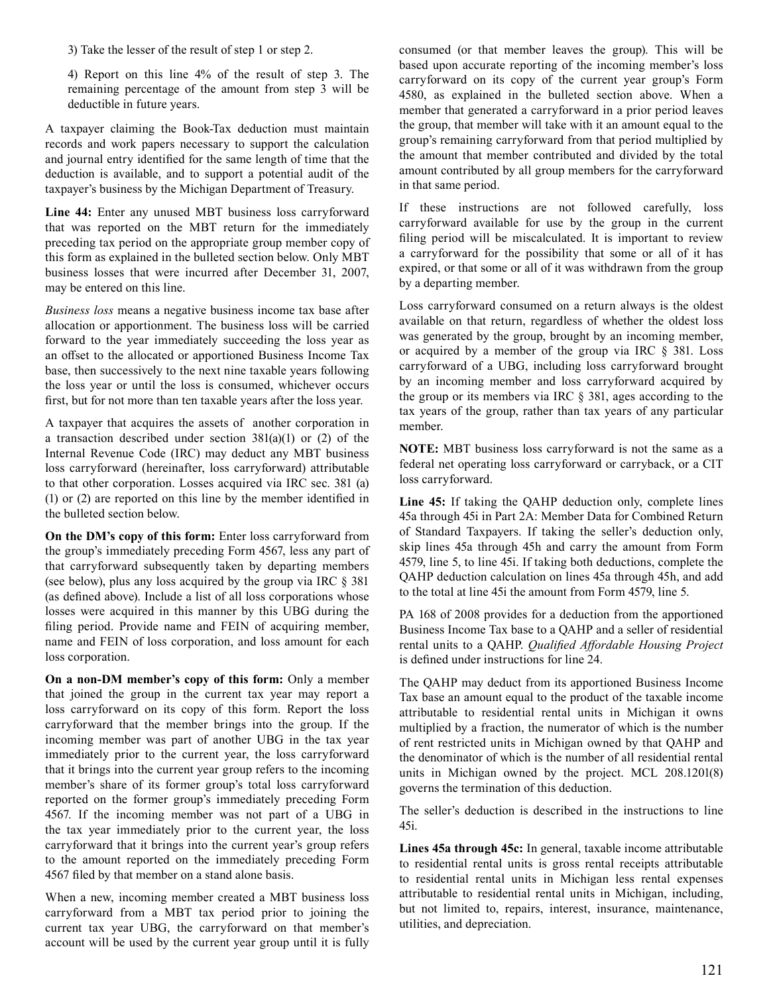3) Take the lesser of the result of step 1 or step 2.

 4) Report on this line 4% of the result of step 3. The remaining percentage of the amount from step 3 will be deductible in future years.

 A taxpayer claiming the Book-Tax deduction must maintain records and work papers necessary to support the calculation and journal entry identified for the same length of time that the deduction is available, and to support a potential audit of the taxpayer's business by the Michigan Department of Treasury.

 **Line 44:** Enter any unused MBT business loss carryforward that was reported on the MBT return for the immediately preceding tax period on the appropriate group member copy of this form as explained in the bulleted section below. Only MBT business losses that were incurred after December 31, 2007, may be entered on this line.

 *Business loss* means a negative business income tax base after allocation or apportionment. The business loss will be carried forward to the year immediately succeeding the loss year as an offset to the allocated or apportioned Business Income Tax base, then successively to the next nine taxable years following the loss year or until the loss is consumed, whichever occurs first, but for not more than ten taxable years after the loss year.

 A taxpayer that acquires the assets of another corporation in a transaction described under section 381(a)(1) or (2) of the Internal Revenue Code (IRC) may deduct any MBT business loss carryforward (hereinafter, loss carryforward) attributable to that other corporation. Losses acquired via IRC sec. 381 (a) (1) or (2) are reported on this line by the member identified in the bulleted section below.

 **On the DM's copy of this form:** Enter loss carryforward from the group's immediately preceding Form 4567, less any part of that carryforward subsequently taken by departing members (see below), plus any loss acquired by the group via IRC § 381 (as defined above). Include a list of all loss corporations whose losses were acquired in this manner by this UBG during the filing period. Provide name and FEIN of acquiring member, name and FEIN of loss corporation, and loss amount for each loss corporation.

 **On a non-DM member's copy of this form:** Only a member that joined the group in the current tax year may report a loss carryforward on its copy of this form. Report the loss carryforward that the member brings into the group. If the incoming member was part of another UBG in the tax year immediately prior to the current year, the loss carryforward that it brings into the current year group refers to the incoming member's share of its former group's total loss carryforward reported on the former group's immediately preceding Form 4567. If the incoming member was not part of a UBG in the tax year immediately prior to the current year, the loss carryforward that it brings into the current year's group refers to the amount reported on the immediately preceding Form 4567 filed by that member on a stand alone basis.

 When a new, incoming member created a MBT business loss carryforward from a MBT tax period prior to joining the current tax year UBG, the carryforward on that member's account will be used by the current year group until it is fully  consumed (or that member leaves the group). This will be based upon accurate reporting of the incoming member's loss carryforward on its copy of the current year group's Form 4580, as explained in the bulleted section above. When a member that generated a carryforward in a prior period leaves the group, that member will take with it an amount equal to the group's remaining carryforward from that period multiplied by the amount that member contributed and divided by the total amount contributed by all group members for the carryforward in that same period.

 If these instructions are not followed carefully, loss carryforward available for use by the group in the current filing period will be miscalculated. It is important to review a carryforward for the possibility that some or all of it has expired, or that some or all of it was withdrawn from the group by a departing member.

 Loss carryforward consumed on a return always is the oldest available on that return, regardless of whether the oldest loss was generated by the group, brought by an incoming member, or acquired by a member of the group via IRC § 381. Loss carryforward of a UBG, including loss carryforward brought by an incoming member and loss carryforward acquired by the group or its members via IRC § 381, ages according to the tax years of the group, rather than tax years of any particular member.

 **NOTE:** MBT business loss carryforward is not the same as a federal net operating loss carryforward or carryback, or a CIT loss carryforward.

 **Line 45:** If taking the QAHP deduction only, complete lines 45a through 45i in Part 2A: Member Data for Combined Return of Standard Taxpayers. If taking the seller's deduction only, skip lines 45a through 45h and carry the amount from Form 4579, line 5, to line 45i. If taking both deductions, complete the QAHP deduction calculation on lines 45a through 45h, and add to the total at line 45i the amount from Form 4579, line 5.

 PA 168 of 2008 provides for a deduction from the apportioned Business Income Tax base to a QAHP and a seller of residential rental units to a QAHP. *Qualified Affordable Housing Project*  is defined under instructions for line 24.

 The QAHP may deduct from its apportioned Business Income Tax base an amount equal to the product of the taxable income attributable to residential rental units in Michigan it owns multiplied by a fraction, the numerator of which is the number of rent restricted units in Michigan owned by that QAHP and the denominator of which is the number of all residential rental units in Michigan owned by the project. MCL 208.1201(8) governs the termination of this deduction.

 The seller's deduction is described in the instructions to line 45i.

 **Lines 45a through 45c:** In general, taxable income attributable to residential rental units is gross rental receipts attributable attributable to residential rental units in Michigan, including, but not limited to, repairs, interest, insurance, maintenance, utilities, and depreciation. to residential rental units in Michigan less rental expenses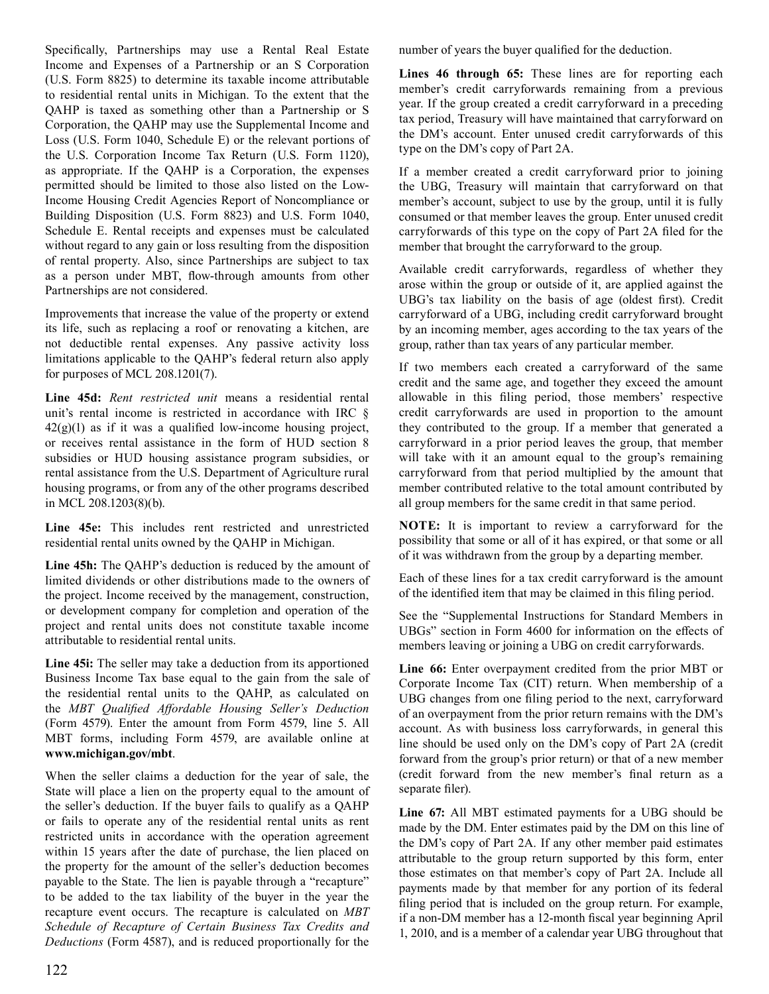Specifically, Partnerships may use a Rental Real Estate Income and Expenses of a Partnership or an S Corporation (U.S. Form 8825) to determine its taxable income attributable to residential rental units in Michigan. To the extent that the QAHP is taxed as something other than a Partnership or S Corporation, the QAHP may use the Supplemental Income and Loss (U.S. Form 1040, Schedule E) or the relevant portions of the U.S. Corporation Income Tax Return (U.S. Form 1120), as appropriate. If the QAHP is a Corporation, the expenses permitted should be limited to those also listed on the Low- Income Housing Credit Agencies Report of Noncompliance or Building Disposition (U.S. Form 8823) and U.S. Form 1040, Schedule E. Rental receipts and expenses must be calculated without regard to any gain or loss resulting from the disposition of rental property. Also, since Partnerships are subject to tax as a person under MBT, flow-through amounts from other Partnerships are not considered.

 Improvements that increase the value of the property or extend its life, such as replacing a roof or renovating a kitchen, are not deductible rental expenses. Any passive activity loss limitations applicable to the QAHP's federal return also apply for purposes of MCL 208.1201(7).

 **Line 45d:** *Rent restricted unit* means a residential rental unit's rental income is restricted in accordance with IRC §  $42(g)(1)$  as if it was a qualified low-income housing project, or receives rental assistance in the form of HUD section 8 subsidies or HUD housing assistance program subsidies, or rental assistance from the U.S. Department of Agriculture rural housing programs, or from any of the other programs described in MCL 208.1203(8)(b).

 **Line 45e:** This includes rent restricted and unrestricted residential rental units owned by the QAHP in Michigan.

 **Line 45h:** The QAHP's deduction is reduced by the amount of limited dividends or other distributions made to the owners of the project. Income received by the management, construction, or development company for completion and operation of the project and rental units does not constitute taxable income attributable to residential rental units.

 **Line 45i:** The seller may take a deduction from its apportioned Business Income Tax base equal to the gain from the sale of the residential rental units to the QAHP, as calculated on (Form 4579). Enter the amount from Form 4579, line 5. All MBT forms, including Form 4579, are available online at the *MBT Qualified Affordable Housing Seller's Deduction* **www.michigan.gov/mbt**.

 When the seller claims a deduction for the year of sale, the State will place a lien on the property equal to the amount of the seller's deduction. If the buyer fails to qualify as a QAHP or fails to operate any of the residential rental units as rent restricted units in accordance with the operation agreement within 15 years after the date of purchase, the lien placed on the property for the amount of the seller's deduction becomes payable to the State. The lien is payable through a "recapture" to be added to the tax liability of the buyer in the year the recapture event occurs. The recapture is calculated on *MBT Deductions* (Form 4587), and is reduced proportionally for the *Schedule of Recapture of Certain Business Tax Credits and*   number of years the buyer qualified for the deduction.

 **Lines 46 through 65:** These lines are for reporting each member's credit carryforwards remaining from a previous year. If the group created a credit carryforward in a preceding tax period, Treasury will have maintained that carryforward on the DM's account. Enter unused credit carryforwards of this type on the DM's copy of Part 2A.

 If a member created a credit carryforward prior to joining the UBG, Treasury will maintain that carryforward on that member's account, subject to use by the group, until it is fully consumed or that member leaves the group. Enter unused credit carryforwards of this type on the copy of Part 2A filed for the member that brought the carryforward to the group.

 Available credit carryforwards, regardless of whether they arose within the group or outside of it, are applied against the UBG's tax liability on the basis of age (oldest first). Credit carryforward of a UBG, including credit carryforward brought by an incoming member, ages according to the tax years of the group, rather than tax years of any particular member.

 If two members each created a carryforward of the same credit and the same age, and together they exceed the amount allowable in this filing period, those members' respective credit carryforwards are used in proportion to the amount they contributed to the group. If a member that generated a carryforward in a prior period leaves the group, that member will take with it an amount equal to the group's remaining carryforward from that period multiplied by the amount that member contributed relative to the total amount contributed by all group members for the same credit in that same period.

 **NOTE:** It is important to review a carryforward for the possibility that some or all of it has expired, or that some or all of it was withdrawn from the group by a departing member.

 Each of these lines for a tax credit carryforward is the amount of the identified item that may be claimed in this filing period.

 See the "Supplemental Instructions for Standard Members in UBGs" section in Form 4600 for information on the effects of members leaving or joining a UBG on credit carryforwards.

 **Line 66:** Enter overpayment credited from the prior MBT or Corporate Income Tax (CIT) return. When membership of a UBG changes from one filing period to the next, carryforward of an overpayment from the prior return remains with the DM's account. As with business loss carryforwards, in general this line should be used only on the DM's copy of Part 2A (credit forward from the group's prior return) or that of a new member (credit forward from the new member's final return as a separate filer).

 **Line 67:** All MBT estimated payments for a UBG should be made by the DM. Enter estimates paid by the DM on this line of the DM's copy of Part 2A. If any other member paid estimates attributable to the group return supported by this form, enter those estimates on that member's copy of Part 2A. Include all payments made by that member for any portion of its federal filing period that is included on the group return. For example, if a non-DM member has a 12-month fiscal year beginning April 1, 2010, and is a member of a calendar year UBG throughout that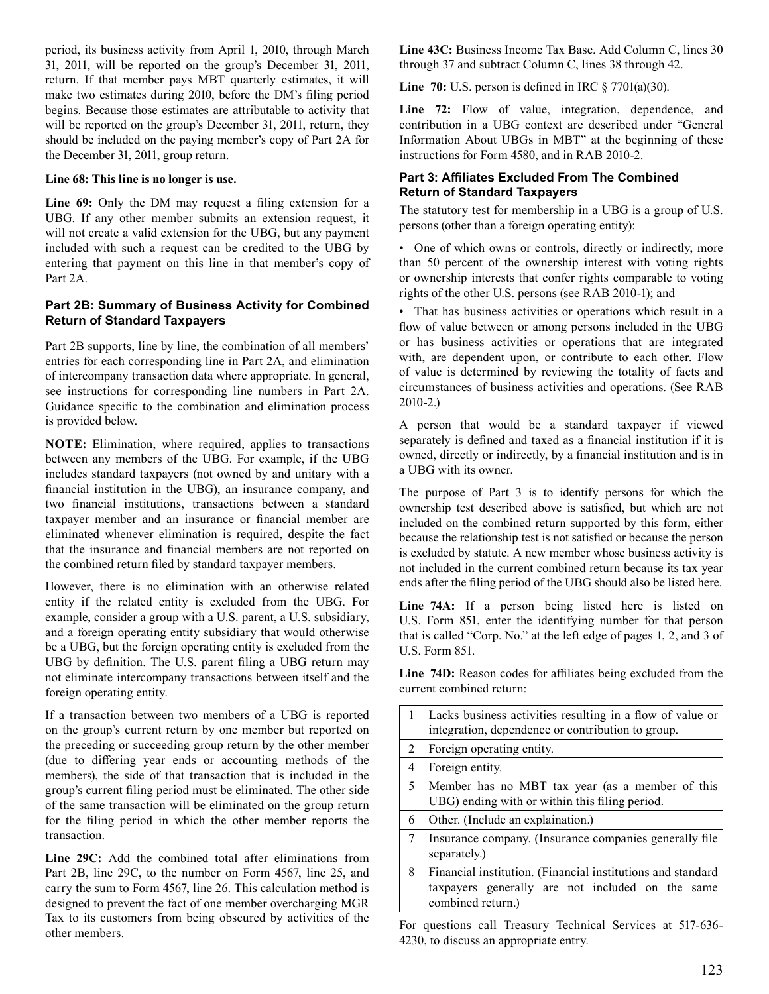period, its business activity from April 1, 2010, through March 31, 2011, will be reported on the group's December 31, 2011, return. If that member pays MBT quarterly estimates, it will make two estimates during 2010, before the DM's filing period begins. Because those estimates are attributable to activity that will be reported on the group's December 31, 2011, return, they should be included on the paying member's copy of Part 2A for the December 31, 2011, group return.

#### **Line 68: This line is no longer is use.**

 **Line 69:** Only the DM may request a filing extension for a UBG. If any other member submits an extension request, it will not create a valid extension for the UBG, but any payment included with such a request can be credited to the UBG by entering that payment on this line in that member's copy of Part 2A.

### **Part 2B: Summary of Business Activity for Combined Return of Standard Taxpayers**

 Part 2B supports, line by line, the combination of all members' entries for each corresponding line in Part 2A, and elimination of intercompany transaction data where appropriate. In general, see instructions for corresponding line numbers in Part 2A. Guidance specific to the combination and elimination process is provided below.

 **NOTE:** Elimination, where required, applies to transactions between any members of the UBG. For example, if the UBG includes standard taxpayers (not owned by and unitary with a financial institution in the UBG), an insurance company, and two financial institutions, transactions between a standard taxpayer member and an insurance or financial member are eliminated whenever elimination is required, despite the fact that the insurance and financial members are not reported on the combined return filed by standard taxpayer members.

 However, there is no elimination with an otherwise related entity if the related entity is excluded from the UBG. For example, consider a group with a U.S. parent, a U.S. subsidiary, and a foreign operating entity subsidiary that would otherwise be a UBG, but the foreign operating entity is excluded from the UBG by definition. The U.S. parent filing a UBG return may not eliminate intercompany transactions between itself and the foreign operating entity.

 If a transaction between two members of a UBG is reported on the group's current return by one member but reported on the preceding or succeeding group return by the other member (due to differing year ends or accounting methods of the members), the side of that transaction that is included in the group's current filing period must be eliminated. The other side of the same transaction will be eliminated on the group return for the filing period in which the other member reports the transaction.

 **Line 29C:** Add the combined total after eliminations from Part 2B, line 29C, to the number on Form 4567, line 25, and carry the sum to Form 4567, line 26. This calculation method is designed to prevent the fact of one member overcharging MGR Tax to its customers from being obscured by activities of the other members.

 **Line 43C:** Business Income Tax Base. Add Column C, lines 30 through 37 and subtract Column C, lines 38 through 42.

 **Line 70:** U.S. person is defined in IRC § 7701(a)(30).

 **Line 72:** Flow of value, integration, dependence, and contribution in a UBG context are described under "General Information About UBGs in MBT" at the beginning of these instructions for Form 4580, and in RAB 2010-2.

### **Part 3: Affiliates Excluded From The Combined Return of Standard Taxpayers**

 The statutory test for membership in a UBG is a group of U.S. persons (other than a foreign operating entity):

 • One of which owns or controls, directly or indirectly, more than 50 percent of the ownership interest with voting rights or ownership interests that confer rights comparable to voting rights of the other U.S. persons (see RAB 2010-1); and

 • That has business activities or operations which result in a flow of value between or among persons included in the UBG or has business activities or operations that are integrated with, are dependent upon, or contribute to each other. Flow of value is determined by reviewing the totality of facts and circumstances of business activities and operations. (See RAB 2010-2.)

 A person that would be a standard taxpayer if viewed separately is defined and taxed as a financial institution if it is owned, directly or indirectly, by a financial institution and is in a UBG with its owner.

 The purpose of Part 3 is to identify persons for which the ownership test described above is satisfied, but which are not included on the combined return supported by this form, either because the relationship test is not satisfied or because the person is excluded by statute. A new member whose business activity is not included in the current combined return because its tax year ends after the filing period of the UBG should also be listed here.

Line 74A: If a person being listed here is listed on U.S. Form 851, enter the identifying number for that person that is called "Corp. No." at the left edge of pages 1, 2, and 3 of U.S. Form 851.

 **Line 74D:** Reason codes for affiliates being excluded from the current combined return:

|                | Lacks business activities resulting in a flow of value or<br>integration, dependence or contribution to group.                       |
|----------------|--------------------------------------------------------------------------------------------------------------------------------------|
| 2              | Foreign operating entity.                                                                                                            |
| $\overline{4}$ | Foreign entity.                                                                                                                      |
| 5              | Member has no MBT tax year (as a member of this<br>UBG) ending with or within this filing period.                                    |
| 6              | Other. (Include an explaination.)                                                                                                    |
| 7              | Insurance company. (Insurance companies generally file<br>separately.)                                                               |
| 8              | Financial institution. (Financial institutions and standard<br>taxpayers generally are not included on the same<br>combined return.) |

 For questions call Treasury Technical Services at 517-636- 4230, to discuss an appropriate entry.